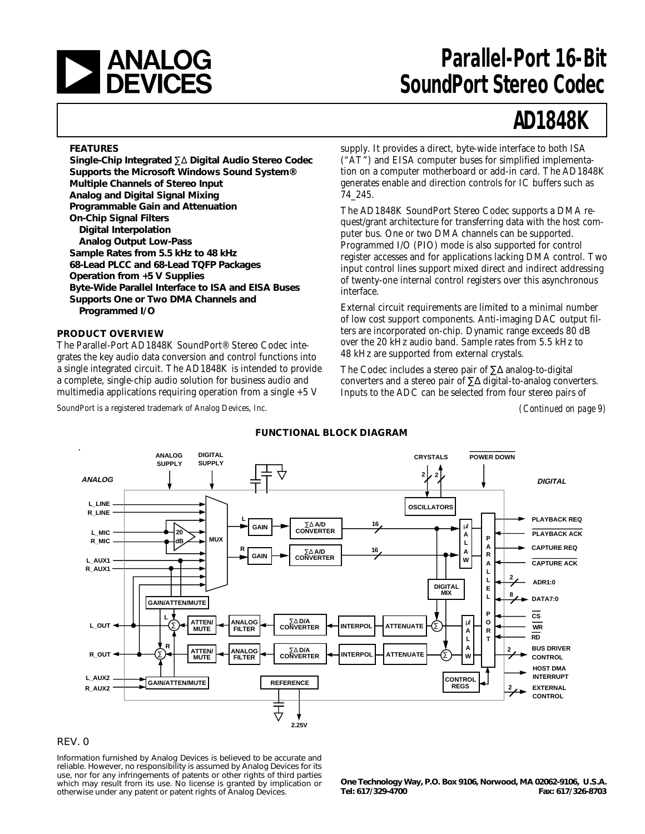

# **a Parallel-Port 16-Bit**<br> **BEVICES** SoundPort Stereo Codec **SoundPort Stereo Codec**

# **AD1848K**

#### **FEATURES**

**Single-Chip Integrated** ∑∆ **Digital Audio Stereo Codec Supports the Microsoft Windows Sound System® Multiple Channels of Stereo Input Analog and Digital Signal Mixing Programmable Gain and Attenuation On-Chip Signal Filters Digital Interpolation Analog Output Low-Pass Sample Rates from 5.5 kHz to 48 kHz 68-Lead PLCC and 68-Lead TQFP Packages Operation from +5 V Supplies Byte-Wide Parallel Interface to ISA and EISA Buses Supports One or Two DMA Channels and Programmed I/O**

#### **PRODUCT OVERVIEW**

The Parallel-Port AD1848K SoundPort® Stereo Codec integrates the key audio data conversion and control functions into a single integrated circuit. The AD1848K is intended to provide a complete, single-chip audio solution for business audio and multimedia applications requiring operation from a single  $+5$  V

SoundPort is a registered trademark of Analog Devices, Inc.

supply. It provides a direct, byte-wide interface to both ISA ("AT") and EISA computer buses for simplified implementation on a computer motherboard or add-in card. The AD1848K generates enable and direction controls for IC buffers such as 74\_245.

The AD1848K SoundPort Stereo Codec supports a DMA request/grant architecture for transferring data with the host computer bus. One or two DMA channels can be supported. Programmed I/O (PIO) mode is also supported for control register accesses and for applications lacking DMA control. Two input control lines support mixed direct and indirect addressing of twenty-one internal control registers over this asynchronous interface.

External circuit requirements are limited to a minimal number of low cost support components. Anti-imaging DAC output filters are incorporated on-chip. Dynamic range exceeds 80 dB over the 20 kHz audio band. Sample rates from 5.5 kHz to 48 kHz are supported from external crystals.

The Codec includes a stereo pair of ∑∆ analog-to-digital converters and a stereo pair of ∑∆ digital-to-analog converters. Inputs to the ADC can be selected from four stereo pairs of

*(Continued on page 9)*



#### **FUNCTIONAL BLOCK DIAGRAM**

#### REV. 0

Information furnished by Analog Devices is believed to be accurate and reliable. However, no responsibility is assumed by Analog Devices for its use, nor for any infringements of patents or other rights of third parties which may result from its use. No license is granted by implication or otherwise under any patent or patent rights of Analog Devices.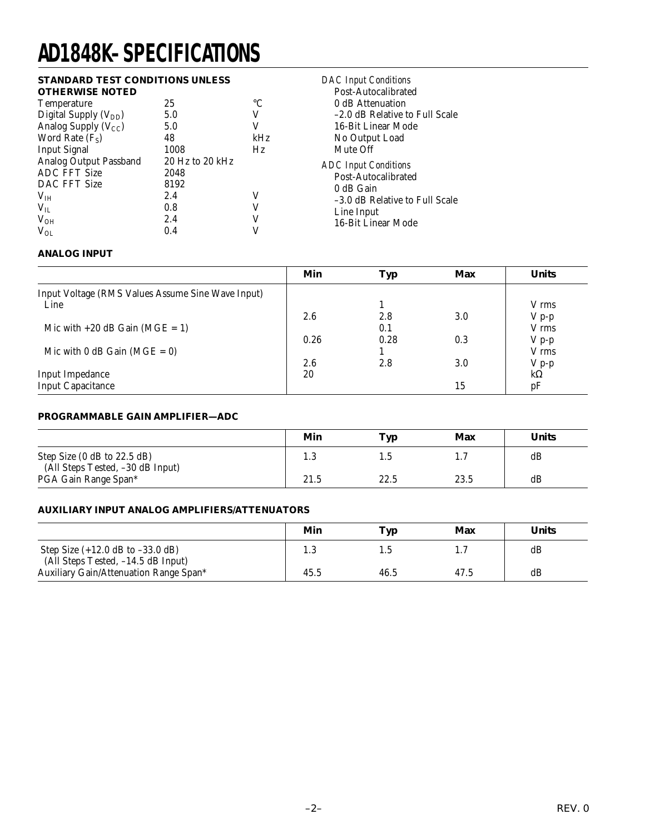# **AD1848K–SPECIFICATIONS**

#### **STANDARD TEST CONDITIONS UNLESS OTHERWISE NOTED**

| viiluvuolinvilla                  |                 |     |
|-----------------------------------|-----------------|-----|
| <b>Temperature</b>                | 25              | °C  |
| Digital Supply (V <sub>DD</sub> ) | 5.0             | V   |
| Analog Supply $(V_{CC})$          | 5.0             | V   |
| Word Rate $(F_S)$                 | 48              | kHz |
| <b>Input Signal</b>               | 1008            | Hz  |
| Analog Output Passband            | 20 Hz to 20 kHz |     |
| <b>ADC FFT Size</b>               | 2048            |     |
| DAC FFT Size                      | 8192            |     |
| V <sub>IH</sub>                   | 2.4             | V   |
| $V_{IL}$                          | 0.8             | V   |
| $V_{OH}$                          | 2.4             | V   |
| $V_{OL}$                          | 0.4             |     |
|                                   |                 |     |

*DAC Input Conditions* Post-Autocalibrated 0 dB Attenuation –2.0 dB Relative to Full Scale 16-Bit Linear Mode No Output Load Mute Off *ADC Input Conditions* Post-Autocalibrated 0 dB Gain –3.0 dB Relative to Full Scale Line Input 16-Bit Linear Mode

#### **ANALOG INPUT**

|                                                   | Min  | <b>Typ</b> | Max | <b>Units</b> |
|---------------------------------------------------|------|------------|-----|--------------|
| Input Voltage (RMS Values Assume Sine Wave Input) |      |            |     |              |
| Line                                              |      |            |     | V rms        |
|                                                   | 2.6  | 2.8        | 3.0 | $V_{p-p}$    |
| Mic with $+20$ dB Gain (MGE = 1)                  |      | 0.1        |     | V rms        |
|                                                   | 0.26 | 0.28       | 0.3 | $V_{p-p}$    |
| Mic with 0 dB Gain ( $MGE = 0$ )                  |      |            |     | V rms        |
|                                                   | 2.6  | 2.8        | 3.0 | $V p-p$      |
| <b>Input Impedance</b>                            | 20   |            |     | $k\Omega$    |
| <b>Input Capacitance</b>                          |      |            | 15  | pF           |

#### **PROGRAMMABLE GAIN AMPLIFIER—ADC**

|                                                                 | Min  | Typ  | Max  | Units |
|-----------------------------------------------------------------|------|------|------|-------|
| Step Size (0 dB to 22.5 dB)<br>(All Steps Tested, -30 dB Input) | ാ    |      |      | dB    |
| PGA Gain Range Span*                                            | 21.5 | 22.5 | 23.5 | dB    |

#### **AUXILIARY INPUT ANALOG AMPLIFIERS/ATTENUATORS**

|                                                                                           | Min  | Tvp  | Max  | <b>Units</b> |
|-------------------------------------------------------------------------------------------|------|------|------|--------------|
| Step Size $(+12.0 \text{ dB to } -33.0 \text{ dB})$<br>(All Steps Tested, -14.5 dB Input) |      |      |      | dB           |
| Auxiliary Gain/Attenuation Range Span*                                                    | 45.5 | 46.5 | 47.5 | dB           |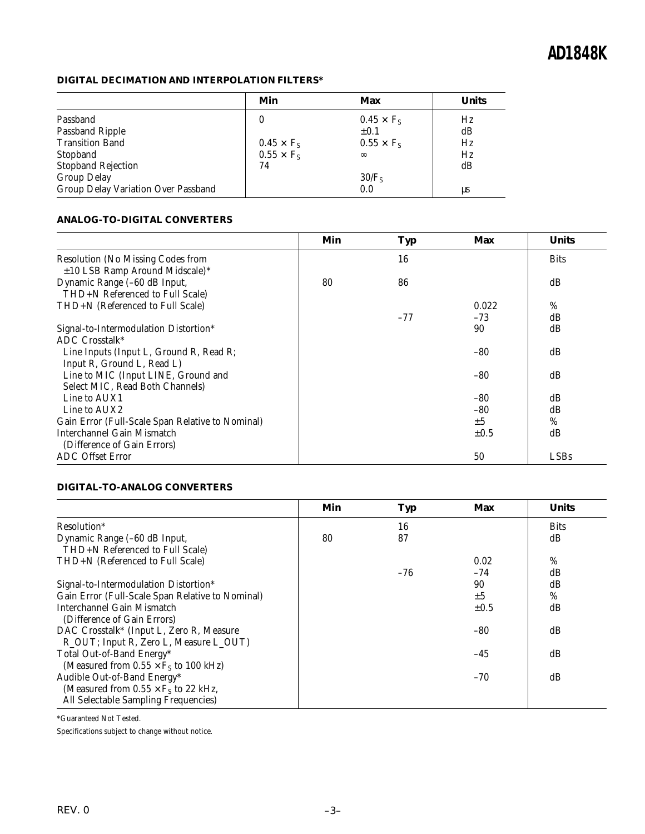#### **DIGITAL DECIMATION AND INTERPOLATION FILTERS\***

|                                     | Min               | Max               | <b>Units</b> |
|-------------------------------------|-------------------|-------------------|--------------|
| Passband                            | 0                 | $0.45 \times F_s$ | Hz           |
| Passband Ripple                     |                   | $\pm 0.1$         | dВ           |
| <b>Transition Band</b>              | $0.45 \times F_s$ | $0.55 \times F_s$ | Hz           |
| Stopband                            | $0.55 \times F_s$ | $\infty$          | Hz           |
| <b>Stopband Rejection</b>           | 74                |                   | dB           |
| <b>Group Delay</b>                  |                   | 30/F <sub>S</sub> |              |
| Group Delay Variation Over Passband |                   | 0.0               | μs           |

#### **ANALOG-TO-DIGITAL CONVERTERS**

|                                                                                                               | Min | <b>Typ</b> | Max            | <b>Units</b> |
|---------------------------------------------------------------------------------------------------------------|-----|------------|----------------|--------------|
| <b>Resolution (No Missing Codes from</b><br>±10 LSB Ramp Around Midscale)*                                    |     | 16         |                | <b>Bits</b>  |
| Dynamic Range (-60 dB Input,<br>THD+N Referenced to Full Scale)                                               | 80  | 86         |                | dB           |
| THD+N (Referenced to Full Scale)                                                                              |     | $-77$      | 0.022<br>$-73$ | $\%$<br>dB   |
| Signal-to-Intermodulation Distortion*                                                                         |     |            | 90             | dB           |
| ADC Crosstalk*<br>Line Inputs (Input L, Ground R, Read R;                                                     |     |            | $-80$          | dB           |
| Input R, Ground L, Read L)<br>Line to MIC (Input LINE, Ground and<br>Select MIC, Read Both Channels)          |     |            | -80            | dB           |
| Line to AUX1                                                                                                  |     |            | $-80$          | dB           |
| Line to AUX2                                                                                                  |     |            | -80<br>±5      | dB<br>%      |
| Gain Error (Full-Scale Span Relative to Nominal)<br>Interchannel Gain Mismatch<br>(Difference of Gain Errors) |     |            | $\pm 0.5$      | dB           |
| <b>ADC</b> Offset Error                                                                                       |     |            | 50             | <b>LSBs</b>  |

#### **DIGITAL-TO-ANALOG CONVERTERS**

|                                                                 | Min | <b>Typ</b> | <b>Max</b> | <b>Units</b> |
|-----------------------------------------------------------------|-----|------------|------------|--------------|
| Resolution*                                                     |     | 16         |            | <b>Bits</b>  |
| Dynamic Range (-60 dB Input,<br>THD+N Referenced to Full Scale) | 80  | 87         |            | dB           |
| THD+N (Referenced to Full Scale)                                |     |            | 0.02       | $\%$         |
|                                                                 |     | $-76$      | $-74$      | dB           |
| Signal-to-Intermodulation Distortion*                           |     |            | 90         | dB           |
| Gain Error (Full-Scale Span Relative to Nominal)                |     |            | ±5         | $\%$         |
| Interchannel Gain Mismatch                                      |     |            | $\pm 0.5$  | dB           |
| (Difference of Gain Errors)                                     |     |            |            |              |
| DAC Crosstalk* (Input L, Zero R, Measure                        |     |            | $-80$      | dB           |
| R_OUT; Input R, Zero L, Measure L_OUT)                          |     |            |            |              |
| Total Out-of-Band Energy*                                       |     |            | $-45$      | dB           |
| (Measured from $0.55 \times F_s$ to 100 kHz)                    |     |            |            |              |
| Audible Out-of-Band Energy*                                     |     |            | $-70$      | dB           |
| (Measured from $0.55 \times F_s$ to 22 kHz,                     |     |            |            |              |
| All Selectable Sampling Frequencies)                            |     |            |            |              |

\*Guaranteed Not Tested.

Specifications subject to change without notice.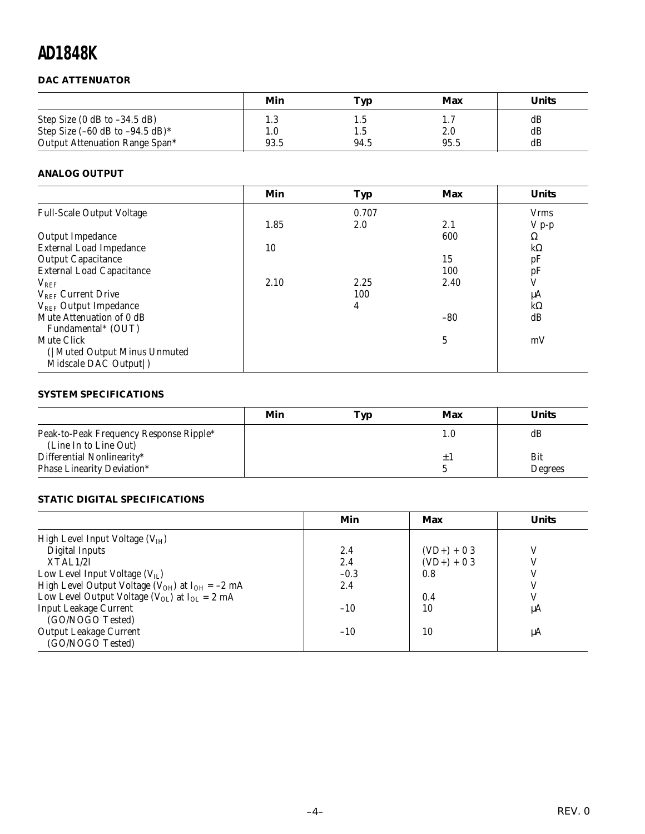#### **DAC ATTENUATOR**

|                                                                         | Min        | Typ        | Max        | <b>Units</b>   |
|-------------------------------------------------------------------------|------------|------------|------------|----------------|
| Step Size $(0$ dB to $-34.5$ dB)<br>Step Size $(-60$ dB to $-94.5$ dB)* | 1.3<br>1.0 | L.5<br>1.5 | 1.7<br>2.0 | dB<br>dB<br>dB |
| <b>Output Attenuation Range Span*</b>                                   | 93.5       | 94.5       | 95.5       |                |

#### **ANALOG OUTPUT**

|                                  | Min  | <b>Typ</b> | <b>Max</b> | <b>Units</b> |
|----------------------------------|------|------------|------------|--------------|
| <b>Full-Scale Output Voltage</b> |      | 0.707      |            | <b>Vrms</b>  |
|                                  | 1.85 | 2.0        | 2.1        | $V p-p$      |
| Output Impedance                 |      |            | 600        | Ω            |
| <b>External Load Impedance</b>   | 10   |            |            | $k\Omega$    |
| <b>Output Capacitance</b>        |      |            | 15         | pF           |
| <b>External Load Capacitance</b> |      |            | 100        | pF           |
| $V_{REF}$                        | 2.10 | 2.25       | 2.40       |              |
| $V_{REF}$ Current Drive          |      | 100        |            | μA           |
| $V_{REF}$ Output Impedance       |      | 4          |            | $k\Omega$    |
| Mute Attenuation of 0 dB         |      |            | $-80$      | dB           |
| Fundamental* (OUT)               |      |            |            |              |
| Mute Click                       |      |            | 5          | mV           |
| ( Muted Output Minus Unmuted     |      |            |            |              |
| Midscale DAC Output  )           |      |            |            |              |

#### **SYSTEM SPECIFICATIONS**

|                                                     | Min | Typ | Max | <b>Units</b> |
|-----------------------------------------------------|-----|-----|-----|--------------|
| Peak-to-Peak Frequency Response Ripple*             |     |     | 1.0 | dB           |
| (Line In to Line Out)<br>Differential Nonlinearity* |     |     |     | Bit          |
| Phase Linearity Deviation*                          |     |     |     | Degrees      |

#### **STATIC DIGITAL SPECIFICATIONS**

|                                                            | Min    | Max          | <b>Units</b> |
|------------------------------------------------------------|--------|--------------|--------------|
| High Level Input Voltage $(VIH)$                           |        |              |              |
| <b>Digital Inputs</b>                                      | 2.4    | $(VD+) + 03$ | V            |
| XTAL1/2I                                                   | 2.4    | $(VD+) + 03$ |              |
| Low Level Input Voltage $(V_{IL})$                         | $-0.3$ | 0.8          |              |
| High Level Output Voltage ( $V_{OH}$ ) at $I_{OH} = -2$ mA | 2.4    |              |              |
| Low Level Output Voltage ( $V_{OL}$ ) at $I_{OL} = 2$ mA   |        | 0.4          |              |
| <b>Input Leakage Current</b>                               | $-10$  | 10           | μA           |
| (GO/NOGO Tested)                                           |        |              |              |
| <b>Output Leakage Current</b>                              | $-10$  | 10           | μA           |
| (GO/NOGO Tested)                                           |        |              |              |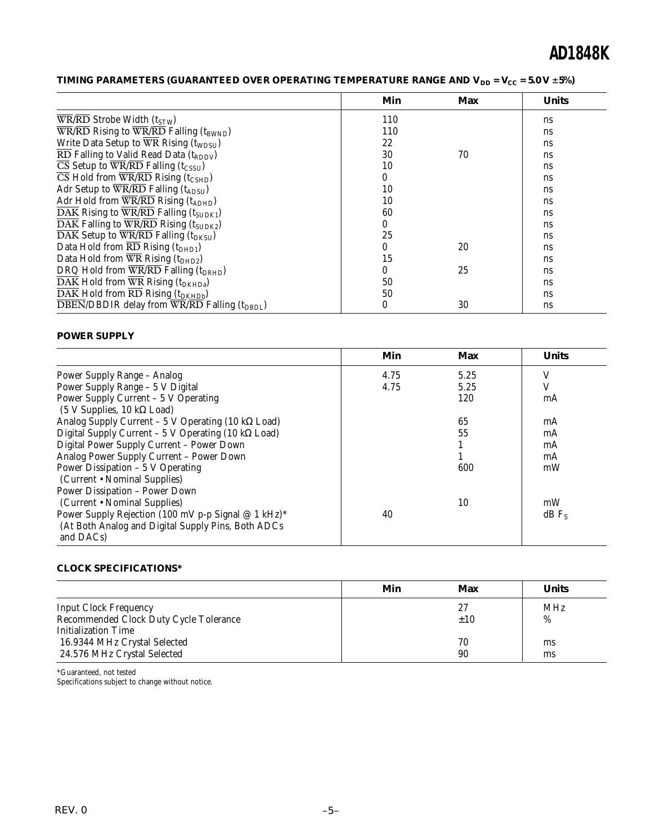### TIMING PARAMETERS (GUARANTEED OVER OPERATING TEMPERATURE RANGE AND  $V_{DD} = V_{CC} = 5.0 V \pm 5\%$ )

|                                                                                                                                        | Min              | Max | <b>Units</b> |
|----------------------------------------------------------------------------------------------------------------------------------------|------------------|-----|--------------|
| WR/RD Strobe Width $(t_{STW})$                                                                                                         | 110              |     | ns           |
| $\overline{\text{WR}}$ / $\overline{\text{RD}}$ Rising to $\overline{\text{WR}}$ / $\overline{\text{RD}}$ Falling (t <sub>BWND</sub> ) | 110              |     | ns           |
| Write Data Setup to $\overline{WR}$ Rising (t <sub>WDSU</sub> )                                                                        | 22               |     | ns           |
| $\overline{\text{RD}}$ Falling to Valid Read Data (t <sub>RDDV</sub> )                                                                 | 30               | 70  | ns           |
| $\overline{\text{CS}}$ Setup to $\overline{\text{WR}}$ / $\overline{\text{RD}}$ Falling (t <sub>CSSU</sub> )                           | 10               |     | ns           |
| $\overline{\text{CS}}$ Hold from WR/RD Rising (t <sub>CSHD</sub> )                                                                     | 0                |     | ns           |
| Adr Setup to $\overline{WR}/\overline{RD}$ Falling (t <sub>ADSU</sub> )                                                                | 10               |     | ns           |
| Adr Hold from $\overline{WR}/\overline{RD}$ Rising (t <sub>ADHD</sub> )                                                                | 10               |     | ns           |
| $\overline{\text{DAK}}$ Rising to $\overline{\text{WR}/\text{RD}}$ Falling (t <sub>SUDK1</sub> )                                       | 60               |     | ns           |
| $\overline{\text{DAK}}$ Falling to $\overline{\text{WR}/\text{RD}}$ Rising (t <sub>SUDK2</sub> )                                       | 0                |     | ns           |
| $\overline{\text{DAK}}$ Setup to $\overline{\text{WR}}$ / $\overline{\text{RD}}$ Falling (t <sub>DKSU</sub> )                          | 25               |     | ns           |
| Data Hold from $\overline{RD}$ Rising (t <sub>DHD1</sub> )                                                                             | 0                | 20  | ns           |
| Data Hold from $\overline{WR}$ Rising (t <sub>DHD2</sub> )                                                                             | 15               |     | ns           |
| DRQ Hold from $\overline{WR}/\overline{RD}$ Falling (t <sub>DRHD</sub> )                                                               | $\boldsymbol{0}$ | 25  | ns           |
| $\overline{\text{DAK}}$ Hold from $\overline{\text{WR}}$ Rising (t <sub>DKHDa</sub> )                                                  | 50               |     | ns           |
| $\overline{\text{DAK}}$ Hold from $\overline{\text{RD}}$ Rising (t <sub>DKHDb</sub> )                                                  | 50               |     | ns           |
| $\overline{\text{DBEN}}$ /DBDIR delay from WR/RD Falling (t <sub>DBDL</sub> )                                                          | $\boldsymbol{0}$ | 30  | ns           |

#### **POWER SUPPLY**

|                                                                       | Min  | Max  | <b>Units</b>        |
|-----------------------------------------------------------------------|------|------|---------------------|
| <b>Power Supply Range - Analog</b>                                    | 4.75 | 5.25 | V                   |
| Power Supply Range - 5 V Digital                                      | 4.75 | 5.25 | V                   |
| Power Supply Current - 5 V Operating                                  |      | 120  | mA                  |
| $(5 \text{ V}$ Supplies, 10 k $\Omega$ Load)                          |      |      |                     |
| Analog Supply Current - $5 \text{ V}$ Operating (10 k $\Omega$ Load)  |      | 65   | mA                  |
| Digital Supply Current - $5 \text{ V}$ Operating (10 k $\Omega$ Load) |      | 55   | mA                  |
| Digital Power Supply Current - Power Down                             |      |      | mA                  |
| Analog Power Supply Current - Power Down                              |      |      | mA                  |
| Power Dissipation - 5 V Operating                                     |      | 600  | mW                  |
| (Current • Nominal Supplies)                                          |      |      |                     |
| <b>Power Dissipation - Power Down</b>                                 |      |      |                     |
| (Current • Nominal Supplies)                                          |      | 10   | mW                  |
| Power Supply Rejection (100 mV p-p Signal @ 1 kHz)*                   | 40   |      | $dB$ F <sub>s</sub> |
| (At Both Analog and Digital Supply Pins, Both ADCs                    |      |      |                     |
| and DACs)                                                             |      |      |                     |

#### **CLOCK SPECIFICATIONS\***

|                                        | Min | Max      | Units      |
|----------------------------------------|-----|----------|------------|
| <b>Input Clock Frequency</b>           |     | 27       | <b>MHz</b> |
| Recommended Clock Duty Cycle Tolerance |     | $\pm 10$ | $\%$       |
| Initialization Time                    |     |          |            |
| 16.9344 MHz Crystal Selected           |     | 70       | ms         |
| 24.576 MHz Crystal Selected            |     | 90       | ms         |

\*Guaranteed, not tested Specifications subject to change without notice.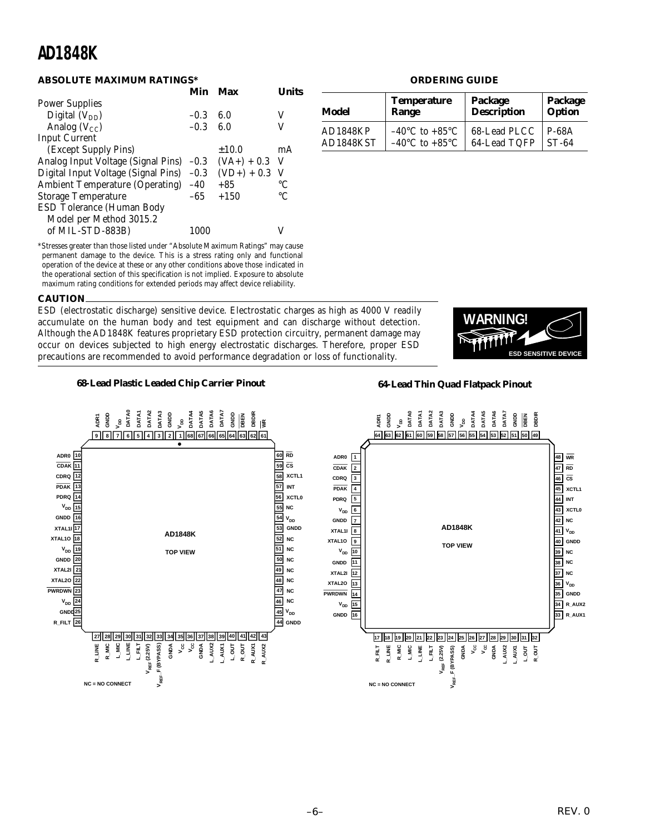#### **ABSOLUTE MAXIMUM RATINGS\***

|                                         | Min    | Max           | I Inits         |
|-----------------------------------------|--------|---------------|-----------------|
| <b>Power Supplies</b>                   |        |               |                 |
| Digital $(V_{DD})$                      | $-0.3$ | 6.0           | V               |
| Analog $(V_{CC})$                       | $-0.3$ | 6.0           | V               |
| <b>Input Current</b>                    |        |               |                 |
| (Except Supply Pins)                    |        | $\pm 10.0$    | mA              |
| Analog Input Voltage (Signal Pins) -0.3 |        | $(VA+) + 0.3$ | - V             |
| Digital Input Voltage (Signal Pins)     | $-0.3$ | $(VD+)+0.3$   | V               |
| Ambient Temperature (Operating)         | $-40$  | $+85$         | $\rm ^{\circ}C$ |
| <b>Storage Temperature</b>              | -65    | $+150$        | $^{\circ}C$     |
| ESD Tolerance (Human Body               |        |               |                 |
| Model per Method 3015.2                 |        |               |                 |
| of MIL-STD-883B)                        | 1000   |               | V               |
|                                         |        |               |                 |

\*Stresses greater than those listed under "Absolute Maximum Ratings" may cause permanent damage to the device. This is a stress rating only and functional operation of the device at these or any other conditions above those indicated in the operational section of this specification is not implied. Exposure to absolute maximum rating conditions for extended periods may affect device reliability.

#### **CAUTION**

ESD (electrostatic discharge) sensitive device. Electrostatic charges as high as 4000 V readily accumulate on the human body and test equipment and can discharge without detection. Although the AD1848K features proprietary ESD protection circuitry, permanent damage may occur on devices subjected to high energy electrostatic discharges. Therefore, proper ESD precautions are recommended to avoid performance degradation or loss of functionality.

#### **ORDERING GUIDE**

| <b>Temperature</b><br>Range<br>Model |                                    | Package<br><b>Description</b> | Package<br>Option |  |
|--------------------------------------|------------------------------------|-------------------------------|-------------------|--|
| <b>AD1848KP</b>                      | $-40^{\circ}$ C to $+85^{\circ}$ C | 68-Lead PLCC                  | <b>P-68A</b>      |  |
| AD1848KST                            | $-40^{\circ}$ C to $+85^{\circ}$ C | 64-Lead TQFP                  | $ST-64$           |  |

**64-Lead Thin Quad Flatpack Pinout**



#### **68-Lead Plastic Leaded Chip Carrier Pinout**

#### **VDD DATA0 DATA1 DATA2 DATA3 GNDD VDD DATA4 DATA5 DATA6 DATA7 GNDD DBEN DBDIR WR VDD DATA0 DATA1 DATA2 DATA3 V**<sub>DD</sub><br>DATA4 **DATA DATA6 DATA7 GNDD DBEN DBDIR ADR1 GNDD GNDD GNDD 9 8 7 6 5 4 3 2 1 68 67 66 65 64 63 62 61 64 63 62 61 60 59 58 57 56 55 54 53 52 51 50 49 ADR1 ADR0 10 60 RD ADR0 1 48 WR CDAK CDAK 11 59 CS 2 47 RD CDRQ 12 CDRQ 3 58 XCTL1 46 CS PDAK 13 PDAK 57 INT 4 XCTL1 45 5 PDRQ 14 56 XCTL0 PDRQ 44 INT V<sub>DD</sub> 15 55 NC 6**  $V_{DD}$ **43 XCTL0 GNDD 16 54 GNDD 7** V<sub>DD</sub><br>GNDD **42 NC AD1848K XTAL1I 17 53 AD1848K 8 XTAL1I 41 V**<sub>DD</sub> **XTAL1O 18 52 NC 9 XTAL1O TOP VIEW 40 GNDD**  $V_{DD}$ **19 TOP VIEW 51 NC V**<sub>DD</sub> 10 **39 NC GNDD 20 50 NC 11 GNDD 38 NC XTAL2I 21 49 NC 12 XTAL2I 37 NC XTAL2O 22 48 NC XTAL2O 13 36**  $V_{DD}$ **PWRDWN 23 47 NC PWRDWN 14 35 GNDD 24**  $V_{DD}$ **46 NC V**<sub>DD</sub> 15 **34 R\_AUX2 GNDD 25 45 VDD 16 GNDD 33 R\_AUX1 R\_FILT 26 44 GNDD 27 28 29 30 31 32 33 34 35 36 37 38 39 40 41 42 43 17 18 19 20 21 22 23 24 25 26 27 28 29 30 31 32 L\_AUX2 L\_FILT VREF (2.25V) L\_AUX1 VREF (2.25V) R\_MIC L\_MIC L\_LINE** F(BYPASS) **GNDA VCC VCC GNDA <sup>R</sup>\_FILT <sup>R</sup>\_MIC <sup>L</sup>\_MIC R\_LINE L\_LINE L\_FILT GNDA VREF\_F (BYPASS) R\_AUX1 L\_OUT R\_AUX2 R\_OUT**  $_F$ (BYPASS) **R\_LINE VCC GNDA L\_AUX2 L\_AUX1 L\_OUT R\_OUT VCC VREF \_F (BYPASS)**  $V_{\text{REF}}$ V<sub>REF-</sub> **NC = NO CONNECT NC = NO CONNECT**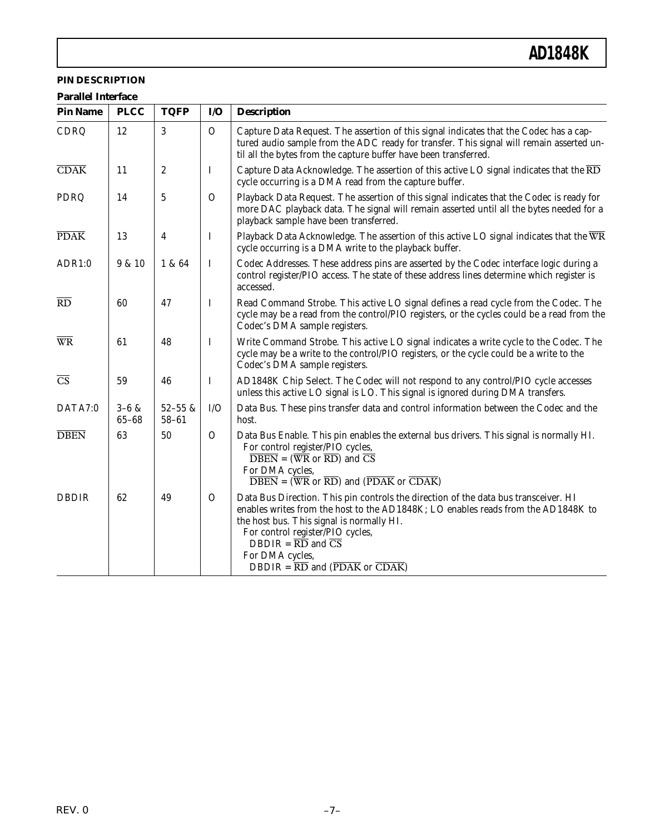#### **PIN DESCRIPTION**

| <b>Parallel Interface</b> |                        |                          |               |                                                                                                                                                                                                                                                                                                                                                                                                             |
|---------------------------|------------------------|--------------------------|---------------|-------------------------------------------------------------------------------------------------------------------------------------------------------------------------------------------------------------------------------------------------------------------------------------------------------------------------------------------------------------------------------------------------------------|
| <b>Pin Name</b>           | <b>PLCC</b>            | <b>TQFP</b>              | I/O           | <b>Description</b>                                                                                                                                                                                                                                                                                                                                                                                          |
| CDRQ                      | 12                     | 3                        | $\mathbf{O}$  | Capture Data Request. The assertion of this signal indicates that the Codec has a cap-<br>tured audio sample from the ADC ready for transfer. This signal will remain asserted un-<br>til all the bytes from the capture buffer have been transferred.                                                                                                                                                      |
| CDAK                      | 11                     | 2                        | $\bf{I}$      | Capture Data Acknowledge. The assertion of this active LO signal indicates that the RD<br>cycle occurring is a DMA read from the capture buffer.                                                                                                                                                                                                                                                            |
| PDRQ                      | 14                     | $\mathbf 5$              | $\mathcal{O}$ | Playback Data Request. The assertion of this signal indicates that the Codec is ready for<br>more DAC playback data. The signal will remain asserted until all the bytes needed for a<br>playback sample have been transferred.                                                                                                                                                                             |
| <b>PDAK</b>               | 13                     | 4                        | Ι             | Playback Data Acknowledge. The assertion of this active LO signal indicates that the WR<br>cycle occurring is a DMA write to the playback buffer.                                                                                                                                                                                                                                                           |
| ADR1:0                    | 9 & 10                 | 1 & 64                   | $\mathbf I$   | Codec Addresses. These address pins are asserted by the Codec interface logic during a<br>control register/PIO access. The state of these address lines determine which register is<br>accessed.                                                                                                                                                                                                            |
| $\overline{RD}$           | 60                     | 47                       | $\mathbf I$   | Read Command Strobe. This active LO signal defines a read cycle from the Codec. The<br>cycle may be a read from the control/PIO registers, or the cycles could be a read from the<br>Codec's DMA sample registers.                                                                                                                                                                                          |
| $\overline{\text{WR}}$    | 61                     | 48                       | $\bf I$       | Write Command Strobe. This active LO signal indicates a write cycle to the Codec. The<br>cycle may be a write to the control/PIO registers, or the cycle could be a write to the<br>Codec's DMA sample registers.                                                                                                                                                                                           |
| $\overline{\text{CS}}$    | 59                     | 46                       | $\bf{I}$      | AD1848K Chip Select. The Codec will not respond to any control/PIO cycle accesses<br>unless this active LO signal is LO. This signal is ignored during DMA transfers.                                                                                                                                                                                                                                       |
| DATA7:0                   | $3 - 6 &$<br>$65 - 68$ | $52 - 55$ &<br>$58 - 61$ | I/O           | Data Bus. These pins transfer data and control information between the Codec and the<br>host.                                                                                                                                                                                                                                                                                                               |
| <b>DBEN</b>               | 63                     | 50                       | $\mathbf{O}$  | Data Bus Enable. This pin enables the external bus drivers. This signal is normally HI.<br>For control register/PIO cycles,<br>$\overline{\rm DBEN} = (\overline{\rm WR} \text{ or } \overline{\rm RD})$ and $\overline{\rm CS}$<br>For DMA cycles,<br>$\overline{\text{DBEN}} = (\overline{\text{WR}} \text{ or } \overline{\text{RD}})$ and $(\overline{\text{PDAK}} \text{ or } \overline{\text{CDAK}})$ |
| <b>DBDIR</b>              | 62                     | 49                       | $\Omega$      | Data Bus Direction. This pin controls the direction of the data bus transceiver. HI<br>enables writes from the host to the AD1848K; LO enables reads from the AD1848K to<br>the host bus. This signal is normally HI.<br>For control register/PIO cycles,<br>DBDIR = $\overline{RD}$ and $\overline{CS}$<br>For DMA cycles,<br>DBDIR = $\overline{RD}$ and $(\overline{PDAK}$ or $\overline{CDAK})$         |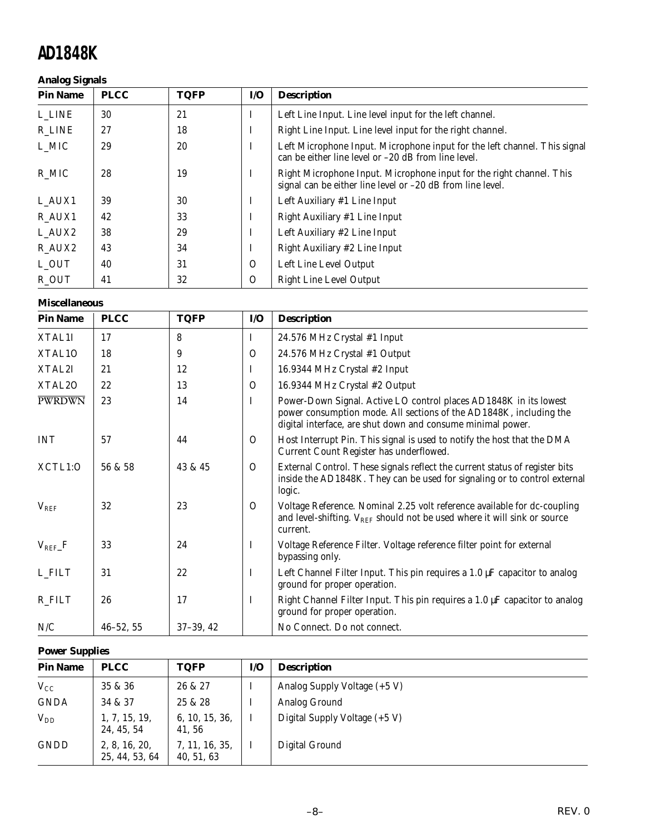#### **Analog Signals**

| <b>Pin Name</b> | <b>PLCC</b> | <b>TQFP</b> | $IO$     | <b>Description</b>                                                                                                                 |
|-----------------|-------------|-------------|----------|------------------------------------------------------------------------------------------------------------------------------------|
| L LINE          | 30          | 21          | Ι        | Left Line Input. Line level input for the left channel.                                                                            |
| <b>R_LINE</b>   | 27          | 18          | I        | Right Line Input. Line level input for the right channel.                                                                          |
| L MIC           | 29          | 20          | I        | Left Microphone Input. Microphone input for the left channel. This signal<br>can be either line level or -20 dB from line level.   |
| R_MIC           | 28          | 19          | I        | Right Microphone Input. Microphone input for the right channel. This<br>signal can be either line level or -20 dB from line level. |
| L_AUX1          | 39          | 30          | I        | Left Auxiliary #1 Line Input                                                                                                       |
| $R_AUX1$        | 42          | 33          | I        | Right Auxiliary #1 Line Input                                                                                                      |
| L AUX2          | 38          | 29          | I        | Left Auxiliary #2 Line Input                                                                                                       |
| R AUX2          | 43          | 34          | I        | Right Auxiliary #2 Line Input                                                                                                      |
| L_OUT           | 40          | 31          | $\Omega$ | Left Line Level Output                                                                                                             |
| R OUT           | 41          | 32          | $\Omega$ | <b>Right Line Level Output</b>                                                                                                     |

#### **Miscellaneous**

| <b>Pin Name</b> | <b>PLCC</b>   | <b>TQFP</b> | I/O          | <b>Description</b>                                                                                                                                                                                     |
|-----------------|---------------|-------------|--------------|--------------------------------------------------------------------------------------------------------------------------------------------------------------------------------------------------------|
| XTAL1I          | 17            | 8           | I            | 24.576 MHz Crystal #1 Input                                                                                                                                                                            |
| XTAL10          | 18            | 9           | $\mathbf{O}$ | 24.576 MHz Crystal #1 Output                                                                                                                                                                           |
| XTAL2I          | 21            | 12          | Ι            | 16.9344 MHz Crystal #2 Input                                                                                                                                                                           |
| XTAL2O          | 22            | 13          | 0            | 16.9344 MHz Crystal #2 Output                                                                                                                                                                          |
| <b>PWRDWN</b>   | 23            | 14          | I            | Power-Down Signal. Active LO control places AD1848K in its lowest<br>power consumption mode. All sections of the AD1848K, including the<br>digital interface, are shut down and consume minimal power. |
| <b>INT</b>      | 57            | 44          | $\Omega$     | Host Interrupt Pin. This signal is used to notify the host that the DMA<br>Current Count Register has underflowed.                                                                                     |
| XCTL1:0         | 56 & 58       | 43 & 45     | $\Omega$     | External Control. These signals reflect the current status of register bits<br>inside the AD1848K. They can be used for signaling or to control external<br>logic.                                     |
| $V_{REF}$       | 32            | 23          | $\Omega$     | Voltage Reference. Nominal 2.25 volt reference available for dc-coupling<br>and level-shifting. $V_{REF}$ should not be used where it will sink or source<br>current.                                  |
| $V_{REF-F}$     | 33            | 24          | Ι            | Voltage Reference Filter. Voltage reference filter point for external<br>bypassing only.                                                                                                               |
| L_FILT          | 31            | 22          | Ι            | Left Channel Filter Input. This pin requires a $1.0 \mu$ F capacitor to analog<br>ground for proper operation.                                                                                         |
| R_FILT          | 26            | 17          | I            | Right Channel Filter Input. This pin requires a 1.0 µF capacitor to analog<br>ground for proper operation.                                                                                             |
| N/C             | $46 - 52, 55$ | $37-39, 42$ |              | No Connect. Do not connect.                                                                                                                                                                            |

#### **Power Supplies**

| <b>Pin Name</b> | <b>PLCC</b>                     | <b>TQFP</b>                  | $UO$ | <b>Description</b>            |
|-----------------|---------------------------------|------------------------------|------|-------------------------------|
| $V_{CC}$        | 35 & 36                         | 26 & 27                      |      | Analog Supply Voltage (+5 V)  |
| <b>GNDA</b>     | 34 & 37                         | 25 & 28                      |      | Analog Ground                 |
| $V_{DD}$        | 1, 7, 15, 19,<br>24, 45, 54     | 6, 10, 15, 36,<br>41, 56     |      | Digital Supply Voltage (+5 V) |
| <b>GNDD</b>     | 2, 8, 16, 20,<br>25, 44, 53, 64 | 7, 11, 16, 35,<br>40, 51, 63 |      | Digital Ground                |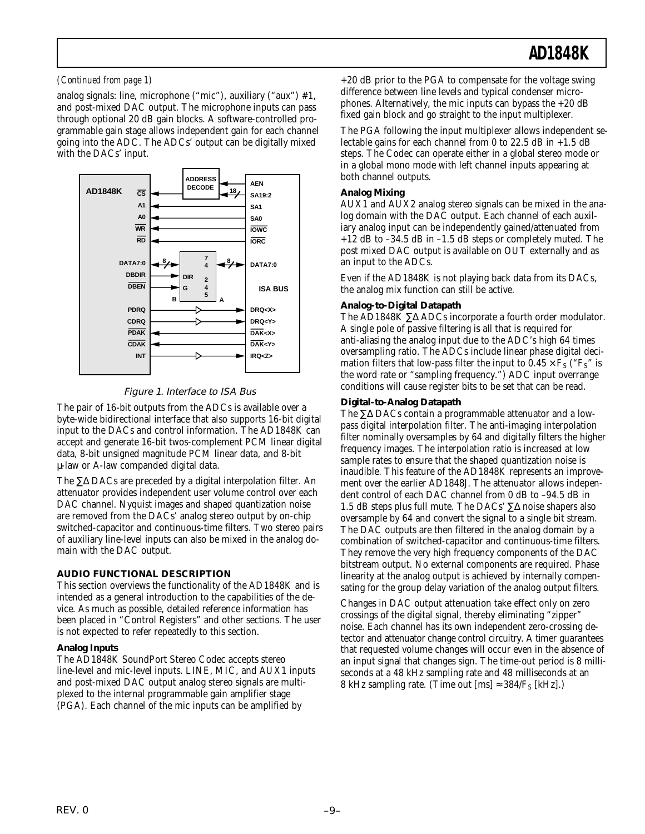#### *(Continued from page 1)*

analog signals: line, microphone ("mic"), auxiliary ("aux") #1, and post-mixed DAC output. The microphone inputs can pass through optional 20 dB gain blocks. A software-controlled programmable gain stage allows independent gain for each channel going into the ADC. The ADCs' output can be digitally mixed with the DACs' input.





The pair of 16-bit outputs from the ADCs is available over a byte-wide bidirectional interface that also supports 16-bit digital input to the DACs and control information. The AD1848K can accept and generate 16-bit twos-complement PCM linear digital data, 8-bit unsigned magnitude PCM linear data, and 8-bit µ-law or A-law companded digital data.

The ∑∆ DACs are preceded by a digital interpolation filter. An attenuator provides independent user volume control over each DAC channel. Nyquist images and shaped quantization noise are removed from the DACs' analog stereo output by on-chip switched-capacitor and continuous-time filters. Two stereo pairs of auxiliary line-level inputs can also be mixed in the analog domain with the DAC output.

#### **AUDIO FUNCTIONAL DESCRIPTION**

This section overviews the functionality of the AD1848K and is intended as a general introduction to the capabilities of the device. As much as possible, detailed reference information has been placed in "Control Registers" and other sections. The user is not expected to refer repeatedly to this section.

#### **Analog Inputs**

The AD1848K SoundPort Stereo Codec accepts stereo line-level and mic-level inputs. LINE, MIC, and AUX1 inputs and post-mixed DAC output analog stereo signals are multiplexed to the internal programmable gain amplifier stage (PGA). Each channel of the mic inputs can be amplified by

+20 dB prior to the PGA to compensate for the voltage swing difference between line levels and typical condenser microphones. Alternatively, the mic inputs can bypass the +20 dB fixed gain block and go straight to the input multiplexer.

The PGA following the input multiplexer allows independent selectable gains for each channel from 0 to 22.5 dB in  $+1.5$  dB steps. The Codec can operate either in a global stereo mode or in a global mono mode with left channel inputs appearing at both channel outputs.

#### **Analog Mixing**

AUX1 and AUX2 analog stereo signals can be mixed in the analog domain with the DAC output. Each channel of each auxiliary analog input can be independently gained/attenuated from +12 dB to –34.5 dB in –1.5 dB steps or completely muted. The post mixed DAC output is available on OUT externally and as an input to the ADCs.

Even if the AD1848K is not playing back data from its DACs, the analog mix function can still be active.

#### **Analog-to-Digital Datapath**

The AD1848K ∑∆ ADCs incorporate a fourth order modulator. A single pole of passive filtering is all that is required for anti-aliasing the analog input due to the ADC's high 64 times oversampling ratio. The ADCs include linear phase digital decimation filters that low-pass filter the input to  $0.45 \times F_S$  ("F<sub>S</sub>" is the word rate or "sampling frequency.") ADC input overrange conditions will cause register bits to be set that can be read.

#### **Digital-to-Analog Datapath**

The ∑∆ DACs contain a programmable attenuator and a lowpass digital interpolation filter. The anti-imaging interpolation filter nominally oversamples by 64 and digitally filters the higher frequency images. The interpolation ratio is increased at low sample rates to ensure that the shaped quantization noise is inaudible. This feature of the AD1848K represents an improvement over the earlier AD1848J. The attenuator allows independent control of each DAC channel from 0 dB to –94.5 dB in 1.5 dB steps plus full mute. The DACs' ∑∆ noise shapers also oversample by 64 and convert the signal to a single bit stream. The DAC outputs are then filtered in the analog domain by a combination of switched-capacitor and continuous-time filters. They remove the very high frequency components of the DAC bitstream output. No external components are required. Phase linearity at the analog output is achieved by internally compensating for the group delay variation of the analog output filters.

Changes in DAC output attenuation take effect only on zero crossings of the digital signal, thereby eliminating "zipper" noise. Each channel has its own independent zero-crossing detector and attenuator change control circuitry. A timer guarantees that requested volume changes will occur even in the absence of an input signal that changes sign. The time-out period is 8 milliseconds at a 48 kHz sampling rate and 48 milliseconds at an 8 kHz sampling rate. (Time out  $[ms] \approx 384/F_s$  [kHz].)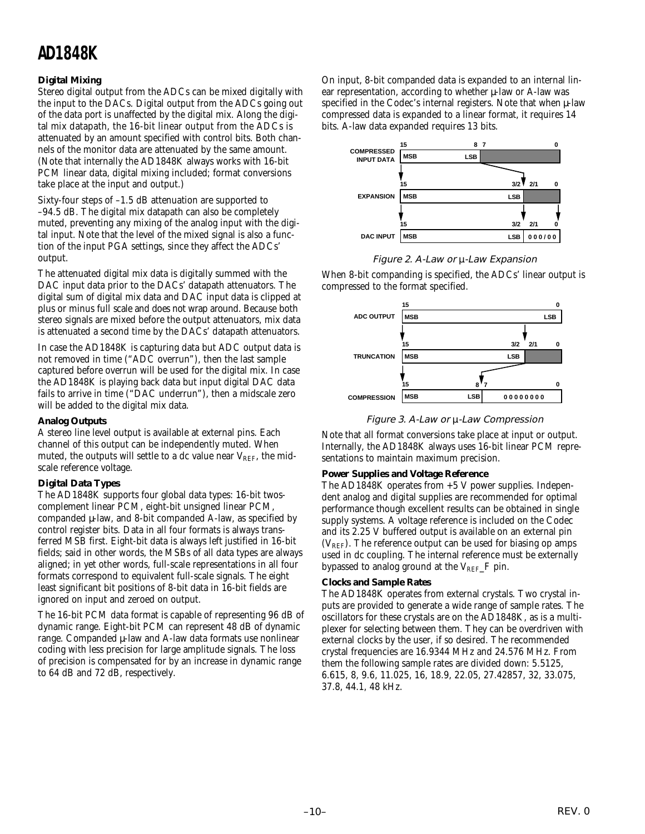#### **Digital Mixing**

Stereo digital output from the ADCs can be mixed digitally with the input to the DACs. Digital output from the ADCs going out of the data port is unaffected by the digital mix. Along the digital mix datapath, the 16-bit linear output from the ADCs is attenuated by an amount specified with control bits. Both channels of the monitor data are attenuated by the same amount. (Note that internally the AD1848K always works with 16-bit PCM linear data, digital mixing included; format conversions take place at the input and output.)

Sixty-four steps of –1.5 dB attenuation are supported to –94.5 dB. The digital mix datapath can also be completely muted, preventing any mixing of the analog input with the digital input. Note that the level of the mixed signal is also a function of the input PGA settings, since they affect the ADCs' output.

The attenuated digital mix data is digitally summed with the DAC input data prior to the DACs' datapath attenuators. The digital sum of digital mix data and DAC input data is clipped at plus or minus full scale and does not wrap around. Because both stereo signals are mixed before the output attenuators, mix data is attenuated a second time by the DACs' datapath attenuators.

In case the AD1848K is capturing data but ADC output data is not removed in time ("ADC overrun"), then the last sample captured before overrun will be used for the digital mix. In case the AD1848K is playing back data but input digital DAC data fails to arrive in time ("DAC underrun"), then a midscale zero will be added to the digital mix data.

#### **Analog Outputs**

A stereo line level output is available at external pins. Each channel of this output can be independently muted. When muted, the outputs will settle to a dc value near  $V_{REF}$ , the midscale reference voltage.

#### **Digital Data Types**

The AD1848K supports four global data types: 16-bit twoscomplement linear PCM, eight-bit unsigned linear PCM, companded µ-law, and 8-bit companded A-law, as specified by control register bits. Data in all four formats is always transferred MSB first. Eight-bit data is always left justified in 16-bit fields; said in other words, the MSBs of all data types are always aligned; in yet other words, full-scale representations in all four formats correspond to equivalent full-scale signals. The eight least significant bit positions of 8-bit data in 16-bit fields are ignored on input and zeroed on output.

The 16-bit PCM data format is capable of representing 96 dB of dynamic range. Eight-bit PCM can represent 48 dB of dynamic range. Companded µ-law and A-law data formats use nonlinear coding with less precision for large amplitude signals. The loss of precision is compensated for by an increase in dynamic range to 64 dB and 72 dB, respectively.

On input, 8-bit companded data is expanded to an internal linear representation, according to whether µ-law or A-law was specified in the Codec's internal registers. Note that when  $\mu$ -law compressed data is expanded to a linear format, it requires 14 bits. A-law data expanded requires 13 bits.



#### Figure 2. A-Law or µ-Law Expansion

When 8-bit companding is specified, the ADCs' linear output is compressed to the format specified.



Figure 3. A-Law or µ-Law Compression

Note that all format conversions take place at input or output. Internally, the AD1848K always uses 16-bit linear PCM representations to maintain maximum precision.

#### **Power Supplies and Voltage Reference**

The AD1848K operates from +5 V power supplies. Independent analog and digital supplies are recommended for optimal performance though excellent results can be obtained in single supply systems. A voltage reference is included on the Codec and its 2.25 V buffered output is available on an external pin  $(V<sub>REF</sub>)$ . The reference output can be used for biasing op amps used in dc coupling. The internal reference must be externally bypassed to analog ground at the  $V_{REF-F}$  pin.

#### **Clocks and Sample Rates**

The AD1848K operates from external crystals. Two crystal inputs are provided to generate a wide range of sample rates. The oscillators for these crystals are on the AD1848K, as is a multiplexer for selecting between them. They can be overdriven with external clocks by the user, if so desired. The recommended crystal frequencies are 16.9344 MHz and 24.576 MHz. From them the following sample rates are divided down: 5.5125, 6.615, 8, 9.6, 11.025, 16, 18.9, 22.05, 27.42857, 32, 33.075, 37.8, 44.1, 48 kHz.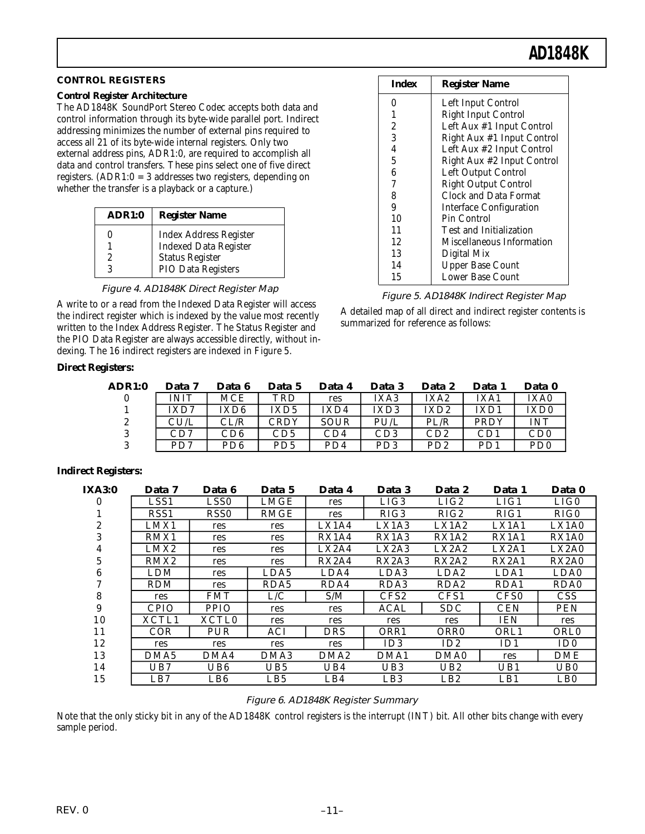#### **CONTROL REGISTERS**

#### **Control Register Architecture**

The AD1848K SoundPort Stereo Codec accepts both data and control information through its byte-wide parallel port. Indirect addressing minimizes the number of external pins required to access all 21 of its byte-wide internal registers. Only two external address pins, ADR1:0, are required to accomplish all data and control transfers. These pins select one of five direct registers.  $(ADR1:0 = 3$  addresses two registers, depending on whether the transfer is a playback or a capture.)

| ADR1:0      | <b>Register Name</b>                                                                                          |
|-------------|---------------------------------------------------------------------------------------------------------------|
| 0<br>2<br>3 | <b>Index Address Register</b><br><b>Indexed Data Register</b><br><b>Status Register</b><br>PIO Data Registers |

#### Figure 4. AD1848K Direct Register Map

A write to or a read from the Indexed Data Register will access the indirect register which is indexed by the value most recently written to the Index Address Register. The Status Register and the PIO Data Register are always accessible directly, without indexing. The 16 indirect registers are indexed in Figure 5.

#### *Direct Registers:*

| <b>ADR1:0</b> | Data 7      | Data 6           | Data 5      | Data 4      | Data 3           | Data 2           | Data 1          | Data 0                      |
|---------------|-------------|------------------|-------------|-------------|------------------|------------------|-----------------|-----------------------------|
|               | <b>INIT</b> | MCE              | TRD         | res         | IXA3             | IXA <sub>2</sub> | IXA1            | IXA0                        |
|               | IXD7        | IXD <sub>6</sub> | IXD5        | IXD4        | IXD <sub>3</sub> | IXD <sub>2</sub> | IXD1            | IXD <sub>0</sub>            |
| 2             | CU/L        | CL/R             | <b>CRDY</b> | <b>SOUR</b> | PU/L             | PL/R             | <b>PRDY</b>     | <b>INT</b>                  |
| 3             | CD7         | CD6              | CD5         | CD4         | CD3              | CD2              | CD1             | CD <sub>0</sub>             |
|               | PD7         | PD <sub>6</sub>  | PD5         | PD4         | PD <sub>3</sub>  | PD <sub>2</sub>  | PD <sub>1</sub> | P <sub>D</sub> <sub>0</sub> |

#### *Indirect Registers:*

| <b>IXA3:0</b> | Data 7           | Data 6            | Data 5           | Data 4            | Data 3                         | Data 2            | Data 1            | Data 0          |
|---------------|------------------|-------------------|------------------|-------------------|--------------------------------|-------------------|-------------------|-----------------|
| 0             | LSS <sub>1</sub> | LSS <sub>0</sub>  | LMGE             | res               | LIG3                           | LIG2              | LIG1              | LIG0            |
|               | RSS <sub>1</sub> | RSS <sub>0</sub>  | <b>RMGE</b>      | res               | RIG3                           | RIG2              | RIG1              | RIG0            |
| 2             | LMX1             | res               | res              | LX1A4             | LX1A3                          | LX1A2             | LX1A1             | LX1A0           |
| 3             | RMX1             | res               | res              | RX1A4             | RX1A3                          | RX1A2             | RX1A1             | RX1A0           |
| 4             | LMX2             | res               | res              | L <sub>X2A4</sub> | LX2A3                          | L <sub>X2A2</sub> | L <sub>X2A1</sub> | LX2A0           |
| 5             | RMX2             | res               | res              | RX2A4             | RX <sub>2</sub> A <sub>3</sub> | RX2A2             | RX2A1             | <b>RX2A0</b>    |
| 6             | LDM              | res               | LDA5             | LDA4              | LDA3                           | LDA <sub>2</sub>  | LDA1              | LDA0            |
|               | <b>RDM</b>       | res               | RDA5             | RDA4              | RDA3                           | RDA <sub>2</sub>  | RDA1              | RDA0            |
| 8             | res              | <b>FMT</b>        | L/C              | S/M               | CFS <sub>2</sub>               | CFS1              | CFS <sub>0</sub>  | <b>CSS</b>      |
| 9             | <b>CPIO</b>      | <b>PPIO</b>       | res              | res               | <b>ACAL</b>                    | <b>SDC</b>        | <b>CEN</b>        | <b>PEN</b>      |
| 10            | XCTL1            | XCTL <sub>0</sub> | res              | res               | res                            | res               | <b>IEN</b>        | res             |
| 11            | <b>COR</b>       | PUR               | ACI              | DRS               | ORR1                           | ORR <sub>0</sub>  | ORL1              | <b>ORLO</b>     |
| 12            | res              | res               | res              | res               | ID3                            | ID2               | ID1               | ID0             |
| 13            | DMA <sub>5</sub> | DMA4              | DMA <sub>3</sub> | DMA <sub>2</sub>  | DMA1                           | DMA <sub>0</sub>  | res               | <b>DME</b>      |
| 14            | UB7              | UB6               | UB5              | UB4               | UB3                            | UB2               | UB1               | UB <sub>0</sub> |
| 15            | LB7              | LB <sub>6</sub>   | LB <sub>5</sub>  | LB4               | LB <sub>3</sub>                | LB2               | LB1               | LB <sub>0</sub> |

#### Figure 6. AD1848K Register Summary

Note that the only sticky bit in any of the AD1848K control registers is the interrupt (INT) bit. All other bits change with every sample period.

| REV. 0 |  |
|--------|--|
|        |  |

| Index | <b>Register Name</b>           |
|-------|--------------------------------|
| 0     | Left Input Control             |
| 1     | <b>Right Input Control</b>     |
| 2     | Left Aux #1 Input Control      |
| 3     | Right Aux #1 Input Control     |
| 4     | Left Aux #2 Input Control      |
| 5     | Right Aux #2 Input Control     |
| 6     | Left Output Control            |
| 7     | <b>Right Output Control</b>    |
| 8     | Clock and Data Format          |
| 9     | <b>Interface Configuration</b> |
| 10    | Pin Control                    |
| 11    | <b>Test and Initialization</b> |
| 12    | Miscellaneous Information      |
| 13    | Digital Mix                    |
| 14    | <b>Upper Base Count</b>        |
| 15    | Lower Base Count               |

#### Figure 5. AD1848K Indirect Register Map

A detailed map of all direct and indirect register contents is summarized for reference as follows: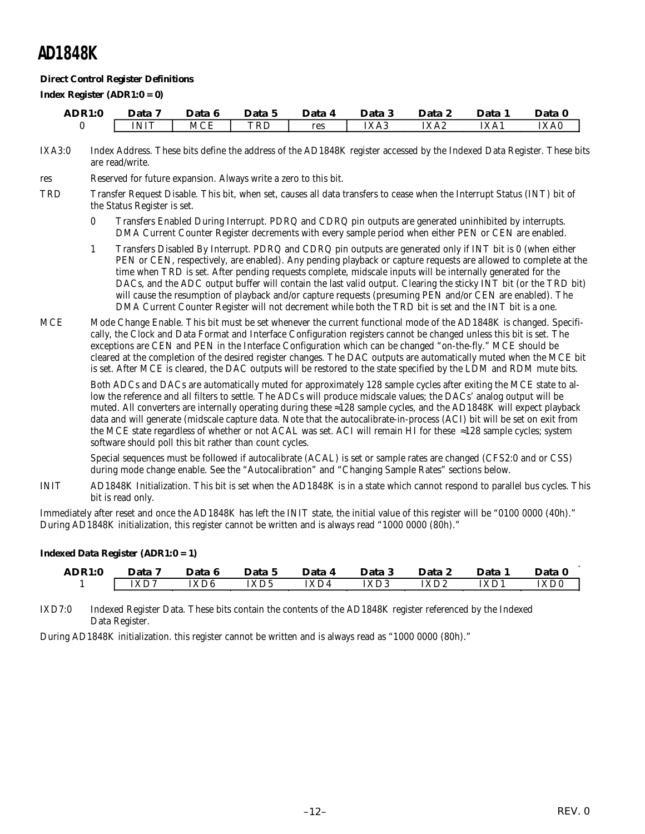#### **Direct Control Register Definitions**

*Index Register (ADR1:0 = 0)*

| ADR1:0 | Data        | Data 6     | Data 5               | Data | Data 3 | Data 2           | <b>Data</b> | Data 0 |
|--------|-------------|------------|----------------------|------|--------|------------------|-------------|--------|
|        | <b>INIT</b> | <b>MCE</b> | $\operatorname{TRL}$ | res  | IXA3   | IXA <sub>2</sub> | IXA1        | IXA0   |

IXA3:0 Index Address. These bits define the address of the AD1848K register accessed by the Indexed Data Register. These bits are read/write.

res Reserved for future expansion. Always write a zero to this bit.

- TRD Transfer Request Disable. This bit, when set, causes all data transfers to cease when the Interrupt Status (INT) bit of the Status Register is set.
	- 0 Transfers Enabled During Interrupt. PDRQ and CDRQ pin outputs are generated uninhibited by interrupts. DMA Current Counter Register decrements with every sample period when either PEN or CEN are enabled.
	- 1 Transfers Disabled By Interrupt. PDRQ and CDRQ pin outputs are generated only if INT bit is 0 (when either PEN or CEN, respectively, are enabled). Any pending playback or capture requests are allowed to complete at the time when TRD is set. After pending requests complete, midscale inputs will be internally generated for the DACs, and the ADC output buffer will contain the last valid output. Clearing the sticky INT bit (or the TRD bit) will cause the resumption of playback and/or capture requests (presuming PEN and/or CEN are enabled). The DMA Current Counter Register will not decrement while both the TRD bit is set and the INT bit is a one.
- MCE Mode Change Enable. This bit must be set whenever the current functional mode of the AD1848K is changed. Specifically, the Clock and Data Format and Interface Configuration registers cannot be changed unless this bit is set. The exceptions are CEN and PEN in the Interface Configuration which can be changed "on-the-fly." MCE should be cleared at the completion of the desired register changes. The DAC outputs are automatically muted when the MCE bit is set. After MCE is cleared, the DAC outputs will be restored to the state specified by the LDM and RDM mute bits.

Both ADCs and DACs are automatically muted for approximately 128 sample cycles after exiting the MCE state to allow the reference and all filters to settle. The ADCs will produce midscale values; the DACs' analog output will be muted. All converters are internally operating during these  $\approx$ 128 sample cycles, and the AD1848K will expect playback data and will generate (midscale capture data. Note that the autocalibrate-in-process (ACI) bit will be set on exit from the MCE state regardless of whether or not ACAL was set. ACI will remain HI for these ≈128 sample cycles; system software should poll this bit rather than count cycles.

Special sequences must be followed if autocalibrate (ACAL) is set or sample rates are changed (CFS2:0 and or CSS) during mode change enable. See the "Autocalibration" and "Changing Sample Rates" sections below.

INIT AD1848K Initialization. This bit is set when the AD1848K is in a state which cannot respond to parallel bus cycles. This bit is read only.

Immediately after reset and once the AD1848K has left the INIT state, the initial value of this register will be "0100 0000 (40h)." During AD1848K initialization, this register cannot be written and is always read "1000 0000 (80h)."

#### *Indexed Data Register (ADR1:0 = 1)*

| ADR1:0 | Data 7 | Data 6 | Data 5 | Data 4 | Data 3 | Data 2 | Data 1 | Data 0      |
|--------|--------|--------|--------|--------|--------|--------|--------|-------------|
|        | IXD7   | IXD6   | IXD5   | IXD4   | IXD3   | IXD2   | IXD1   | <b>IXD0</b> |

IXD7:0 Indexed Register Data. These bits contain the contents of the AD1848K register referenced by the Indexed Data Register.

During AD1848K initialization. this register cannot be written and is always read as "1000 0000 (80h)."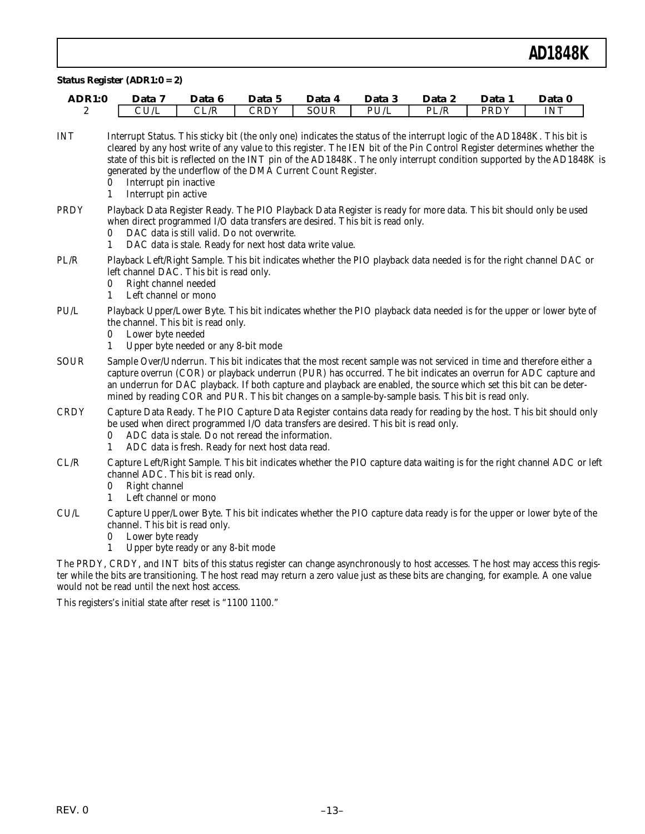| <b>ADR1:0</b> | Data 7                                                                                                                                                                                                                                                                                                                                                                                                                                                                                                     | Data 6                                                                                                 | Data 5      | Data 4      | Data 3 | Data 2 | Data 1 | Data 0     |
|---------------|------------------------------------------------------------------------------------------------------------------------------------------------------------------------------------------------------------------------------------------------------------------------------------------------------------------------------------------------------------------------------------------------------------------------------------------------------------------------------------------------------------|--------------------------------------------------------------------------------------------------------|-------------|-------------|--------|--------|--------|------------|
| 2             | CU/L                                                                                                                                                                                                                                                                                                                                                                                                                                                                                                       | CL/R                                                                                                   | <b>CRDY</b> | <b>SOUR</b> | PU/L   | PL/R   | PRDY   | <b>INT</b> |
| <b>INT</b>    | Interrupt Status. This sticky bit (the only one) indicates the status of the interrupt logic of the AD1848K. This bit is<br>cleared by any host write of any value to this register. The IEN bit of the Pin Control Register determines whether the<br>state of this bit is reflected on the INT pin of the AD1848K. The only interrupt condition supported by the AD1848K is<br>generated by the underflow of the DMA Current Count Register.<br>Interrupt pin inactive<br>0<br>Interrupt pin active<br>1 |                                                                                                        |             |             |        |        |        |            |
| <b>PRDY</b>   | Playback Data Register Ready. The PIO Playback Data Register is ready for more data. This bit should only be used<br>when direct programmed I/O data transfers are desired. This bit is read only.<br>0<br>1                                                                                                                                                                                                                                                                                               | DAC data is still valid. Do not overwrite.<br>DAC data is stale. Ready for next host data write value. |             |             |        |        |        |            |
| PL/R          | Playback Left/Right Sample. This bit indicates whether the PIO playback data needed is for the right channel DAC or<br>left channel DAC. This bit is read only.<br>Right channel needed<br>0<br>Left channel or mono<br>1                                                                                                                                                                                                                                                                                  |                                                                                                        |             |             |        |        |        |            |
| PU/L          | Playback Upper/Lower Byte. This bit indicates whether the PIO playback data needed is for the upper or lower byte of<br>the channel. This bit is read only.<br>Lower byte needed<br>0<br>1                                                                                                                                                                                                                                                                                                                 | Upper byte needed or any 8-bit mode                                                                    |             |             |        |        |        |            |
| <b>SOUR</b>   | Sample Over/Underrun. This bit indicates that the most recent sample was not serviced in time and therefore either a<br>capture overrun (COR) or playback underrun (PUR) has occurred. The bit indicates an overrun for ADC capture and<br>an underrun for DAC playback. If both capture and playback are enabled, the source which set this bit can be deter-<br>mined by reading COR and PUR. This bit changes on a sample-by-sample basis. This bit is read only.                                       |                                                                                                        |             |             |        |        |        |            |
| <b>CRDY</b>   | Capture Data Ready. The PIO Capture Data Register contains data ready for reading by the host. This bit should only<br>be used when direct programmed I/O data transfers are desired. This bit is read only.<br>0<br>1                                                                                                                                                                                                                                                                                     | ADC data is stale. Do not reread the information.<br>ADC data is fresh. Ready for next host data read. |             |             |        |        |        |            |
| CL/R          | Capture Left/Right Sample. This bit indicates whether the PIO capture data waiting is for the right channel ADC or left<br>channel ADC. This bit is read only.<br>Right channel<br>0<br>Left channel or mono<br>$\mathbf{1}$                                                                                                                                                                                                                                                                               |                                                                                                        |             |             |        |        |        |            |
| CU/L          | Capture Upper/Lower Byte. This bit indicates whether the PIO capture data ready is for the upper or lower byte of the<br>channel. This bit is read only.<br>Lower byte ready<br>0<br>1                                                                                                                                                                                                                                                                                                                     | Upper byte ready or any 8-bit mode                                                                     |             |             |        |        |        |            |

The PRDY, CRDY, and INT bits of this status register can change asynchronously to host accesses. The host may access this register while the bits are transitioning. The host read may return a zero value just as these bits are changing, for example. A one value would not be read until the next host access.

This registers's initial state after reset is "1100 1100."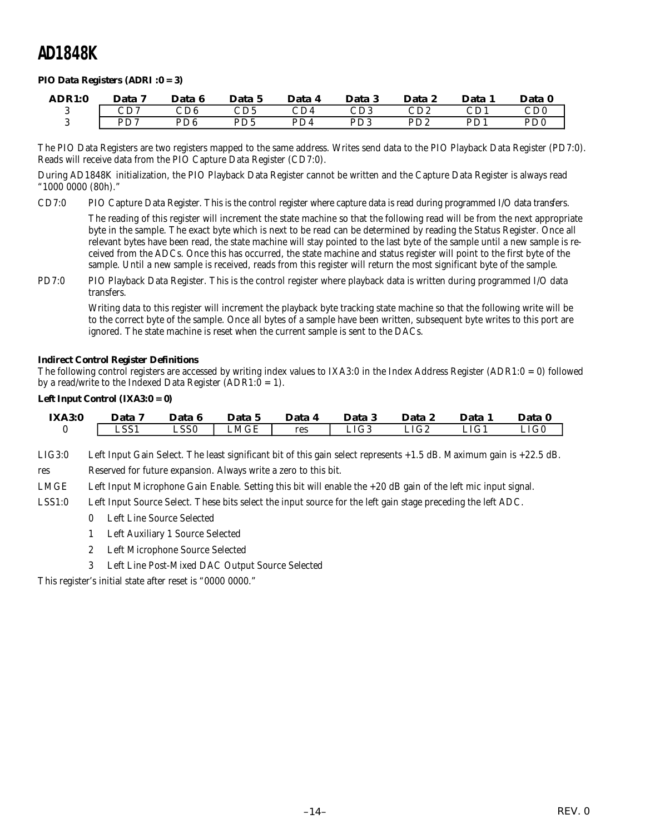#### *PIO Data Registers (ADRI :0 = 3)*

| ADR1:0 | Data 7 | Data 6 | Data 5          | Data 4        | Data 3          | Data 2                      | Data 1          | Data 0                           |
|--------|--------|--------|-----------------|---------------|-----------------|-----------------------------|-----------------|----------------------------------|
|        | CD7    | CD6    | CD <sub>5</sub> | $\bigcirc$ D4 | CD <sub>3</sub> | $\mathop{\rm CD2}\nolimits$ | CD <sup>1</sup> | $\mathop{\mathrm{CD}}\nolimits0$ |
|        | PD7    | PD6.   | PD <sub>5</sub> | PD4           | PD3             | PD <sub>2</sub>             | PD1             | PD0                              |

The PIO Data Registers are two registers mapped to the same address. Writes send data to the PIO Playback Data Register (PD7:0). Reads will receive data from the PIO Capture Data Register (CD7:0).

During AD1848K initialization, the PIO Playback Data Register cannot be written and the Capture Data Register is always read "1000 0000 (80h)."

CD7:0 PIO Capture Data Register. This is the control register where capture data is read during programmed I/O data transfers.

The reading of this register will increment the state machine so that the following read will be from the next appropriate byte in the sample. The exact byte which is next to be read can be determined by reading the Status Register. Once all relevant bytes have been read, the state machine will stay pointed to the last byte of the sample until a new sample is received from the ADCs. Once this has occurred, the state machine and status register will point to the first byte of the sample. Until a new sample is received, reads from this register will return the most significant byte of the sample.

PD7:0 PIO Playback Data Register. This is the control register where playback data is written during programmed I/O data transfers.

Writing data to this register will increment the playback byte tracking state machine so that the following write will be to the correct byte of the sample. Once all bytes of a sample have been written, subsequent byte writes to this port are ignored. The state machine is reset when the current sample is sent to the DACs.

#### **Indirect Control Register Definitions**

The following control registers are accessed by writing index values to IXA3:0 in the Index Address Register (ADR1:0 = 0) followed by a read/write to the Indexed Data Register  $(ADR1:0 = 1)$ .

#### *Left Input Control (IXA3:0 = 0)*

| <b>IXA3:0</b> | Data 7 | Data 6 | Data 5 | Data 4 | Data 3 | Data 2 | Data | Data 0 |
|---------------|--------|--------|--------|--------|--------|--------|------|--------|
|               | LSS1   | ـSS0   | LMGE   | res    | LIG3   | LIG2   | LIG1 | LIG0   |

LIG3:0 Left Input Gain Select. The least significant bit of this gain select represents +1.5 dB. Maximum gain is +22.5 dB.

res Reserved for future expansion. Always write a zero to this bit.

LMGE Left Input Microphone Gain Enable. Setting this bit will enable the +20 dB gain of the left mic input signal.

LSS1:0 Left Input Source Select. These bits select the input source for the left gain stage preceding the left ADC.

- 0 Left Line Source Selected
- 1 Left Auxiliary 1 Source Selected
- 2 Left Microphone Source Selected
- 3 Left Line Post-Mixed DAC Output Source Selected

This register's initial state after reset is "0000 0000."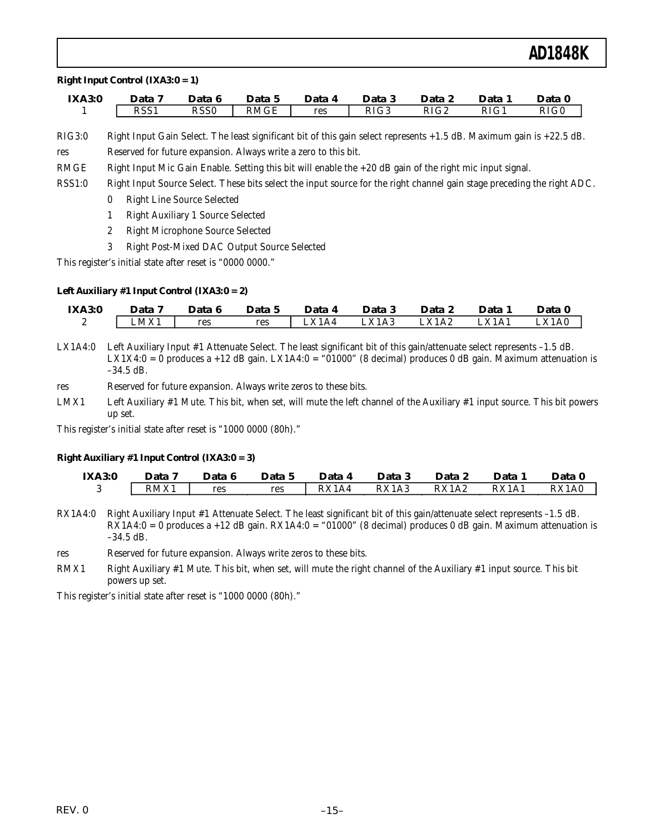#### *Right Input Control (IXA3:0 = 1)*

| <b>IXA3:0</b> | Data 7 | Data 6      | Data 5 | Data 4 | Data 3 | Data | Data 1 | Data 0 |
|---------------|--------|-------------|--------|--------|--------|------|--------|--------|
|               | RSS1   | <b>RSS0</b> | RMGE   | res    | RIG3   | RIG2 | RIG1   | RIG0   |

RIG3:0 Right Input Gain Select. The least significant bit of this gain select represents +1.5 dB. Maximum gain is +22.5 dB. res Reserved for future expansion. Always write a zero to this bit.

- RMGE Right Input Mic Gain Enable. Setting this bit will enable the +20 dB gain of the right mic input signal.
- RSS1:0 Right Input Source Select. These bits select the input source for the right channel gain stage preceding the right ADC.
	- 0 Right Line Source Selected
	- 1 Right Auxiliary 1 Source Selected
	- 2 Right Microphone Source Selected
	- 3 Right Post-Mixed DAC Output Source Selected

This register's initial state after reset is "0000 0000."

#### *Left Auxiliary #1 Input Control (IXA3:0 = 2)*

| <b>IXA3:0</b> | Data 7 | Data 6 | Data 5 | Data 4            | Data 3 | Data 2 | Data 1 | Data 0 |
|---------------|--------|--------|--------|-------------------|--------|--------|--------|--------|
|               | LMX1   | res    | res    | $\mathbf{Y}$ X1A4 | LX1A3  | LX1A2  | LX1A1  | LX1A0  |

- LX1A4:0 Left Auxiliary Input #1 Attenuate Select. The least significant bit of this gain/attenuate select represents –1.5 dB. LX1X4:0 = 0 produces a +12 dB gain. LX1A4:0 = "01000" (8 decimal) produces 0 dB gain. Maximum attenuation is –34.5 dB.
- res Reserved for future expansion. Always write zeros to these bits.
- LMX1 Left Auxiliary #1 Mute. This bit, when set, will mute the left channel of the Auxiliary #1 input source. This bit powers up set.

This register's initial state after reset is "1000 0000 (80h)."

#### *Right Auxiliary #1 Input Control (IXA3:0 = 3)*

| <b>IXA3:0</b> | <b>Data</b> | Data 6 | Data 5 | Data 4 | Data  | Data 2 | Data  | Data 0 |
|---------------|-------------|--------|--------|--------|-------|--------|-------|--------|
|               | RMX1        | res    | res    | RX1A4  | RX1A3 | RX1A2  | RX1A1 | RX1A0  |

- RX1A4:0 Right Auxiliary Input #1 Attenuate Select. The least significant bit of this gain/attenuate select represents –1.5 dB.  $RX1A4:0 = 0$  produces a +12 dB gain. RX1A4:0 = "01000" (8 decimal) produces 0 dB gain. Maximum attenuation is –34.5 dB.
- res Reserved for future expansion. Always write zeros to these bits.
- RMX1 Right Auxiliary  $#1$  Mute. This bit, when set, will mute the right channel of the Auxiliary  $#1$  input source. This bit powers up set.

This register's initial state after reset is "1000 0000 (80h)."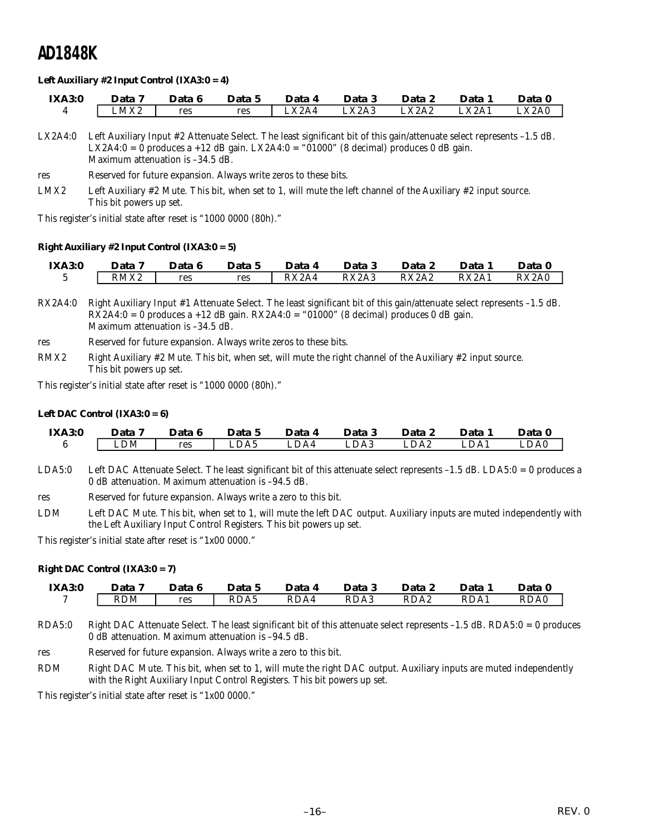#### *Left Auxiliary #2 Input Control (IXA3:0 = 4)*

| <b>IXA3:0</b> | Data | Data 6 | Data 5 | Data  | Data 3 | Data 2            | Data 1            | Data 0 |
|---------------|------|--------|--------|-------|--------|-------------------|-------------------|--------|
|               | LMX2 | res    | res    | LX2A4 | LX2A3  | L <sub>X2A2</sub> | L <sub>X2A1</sub> | LX2A0  |

LX2A4:0 Left Auxiliary Input #2 Attenuate Select. The least significant bit of this gain/attenuate select represents –1.5 dB. LX2A4:0 = 0 produces a +12 dB gain. LX2A4:0 = "01000" (8 decimal) produces 0 dB gain. Maximum attenuation is –34.5 dB.

res Reserved for future expansion. Always write zeros to these bits.

LMX2 Left Auxiliary #2 Mute. This bit, when set to 1, will mute the left channel of the Auxiliary #2 input source. This bit powers up set.

This register's initial state after reset is "1000 0000 (80h)."

#### *Right Auxiliary #2 Input Control (IXA3:0 = 5)*

| <b>IXA3:0</b> | Data 7 | Data 6 | Data 5 | Data 4 | Data 3 | Data 2 | Data 1 | Data 0 |
|---------------|--------|--------|--------|--------|--------|--------|--------|--------|
|               | RMX2   | res    | res    | RX2A4  | RX2A3  | RX2A2  | RX2A1  | RX2A0  |

RX2A4:0 Right Auxiliary Input #1 Attenuate Select. The least significant bit of this gain/attenuate select represents –1.5 dB.  $RX2A4:0 = 0$  produces a +12 dB gain.  $RX2A4:0 = "01000"$  (8 decimal) produces 0 dB gain. Maximum attenuation is –34.5 dB.

res Reserved for future expansion. Always write zeros to these bits.

RMX2 Right Auxiliary #2 Mute. This bit, when set, will mute the right channel of the Auxiliary #2 input source. This bit powers up set.

This register's initial state after reset is "1000 0000 (80h)."

#### *Left DAC Control (IXA3:0 = 6)*

| <b>IXA3:0</b> | Data 7 | Data 6 | Data 5 | Data 4 | Data 3 | Data 2 | Data | Data 0          |
|---------------|--------|--------|--------|--------|--------|--------|------|-----------------|
|               | LDM    | res    | LDA5   | LDA4   | LDA3   | LDA2   | LDA1 | $\mathsf{LDA0}$ |

- LDA5:0 Left DAC Attenuate Select. The least significant bit of this attenuate select represents –1.5 dB. LDA5:0 = 0 produces a 0 dB attenuation. Maximum attenuation is –94.5 dB.
- res Reserved for future expansion. Always write a zero to this bit.
- LDM Left DAC Mute. This bit, when set to 1, will mute the left DAC output. Auxiliary inputs are muted independently with the Left Auxiliary Input Control Registers. This bit powers up set.

This register's initial state after reset is "1x00 0000."

#### *Right DAC Control (IXA3:0 = 7)*

| <b>IXA3:0</b> | Data       | Data 6 | Data 5 | Data | Data 3 | Data 2 | <b>Data</b> | Data 0 |
|---------------|------------|--------|--------|------|--------|--------|-------------|--------|
|               | <b>RDM</b> | res    | RDA5   | RDA4 | RDA3   | RDA2   | RDA1        | RDA0   |

- RDA5:0 Right DAC Attenuate Select. The least significant bit of this attenuate select represents –1.5 dB. RDA5:0 = 0 produces 0 dB attenuation. Maximum attenuation is –94.5 dB.
- res Reserved for future expansion. Always write a zero to this bit.
- RDM Right DAC Mute. This bit, when set to 1, will mute the right DAC output. Auxiliary inputs are muted independently with the Right Auxiliary Input Control Registers. This bit powers up set.

This register's initial state after reset is "1x00 0000."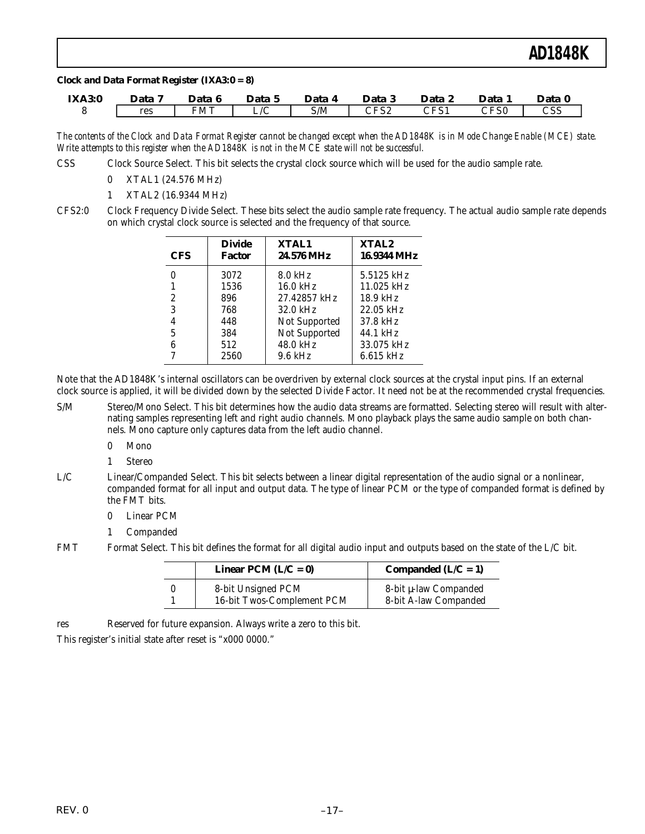#### *Clock and Data Format Register (IXA3:0 = 8)*

| <b>IXA3:0</b> | Data | Data       | Data 5          | Data | Data 3      | Data 2                       | Data                   | Data ( |
|---------------|------|------------|-----------------|------|-------------|------------------------------|------------------------|--------|
|               | res  | <b>FMT</b> | $\sqrt{ }$<br>◡ | S/M  | ヘロピク<br>۵ د | $\mathop{\rm CFS1}\nolimits$ | $\mathbb{C}\text{FS0}$ | CSS    |

*The contents of the Clock and Data Format Register cannot be changed except when the AD1848K is in Mode Change Enable (MCE) state. Write attempts to this register when the AD1848K is not in the MCE state will not be successful.*

- CSS Clock Source Select. This bit selects the crystal clock source which will be used for the audio sample rate.
	- 0 XTAL1 (24.576 MHz)
	- 1 XTAL2 (16.9344 MHz)

CFS2:0 Clock Frequency Divide Select. These bits select the audio sample rate frequency. The actual audio sample rate depends on which crystal clock source is selected and the frequency of that source.

| <b>CFS</b> | <b>Divide</b><br><b>Factor</b> | XTAL1<br>24.576 MHz | XTAL2<br>16.9344 MHz |
|------------|--------------------------------|---------------------|----------------------|
|            | 3072                           | $8.0 \text{ kHz}$   | 5.5125 kHz           |
|            | 1536                           | $16.0$ kHz          | $11.025$ kHz         |
| 2          | 896                            | 27.42857 kHz        | $18.9$ kHz           |
| 3          | 768                            | 32.0 kHz            | $22.05$ kHz          |
| 4          | 448                            | Not Supported       | 37.8 kHz             |
| 5          | 384                            | Not Supported       | 44.1 kHz             |
| 6          | 512                            | 48.0 kHz            | 33.075 kHz           |
| ⇁          | 2560                           | $9.6$ kHz           | 6.615 kHz            |

Note that the AD1848K's internal oscillators can be overdriven by external clock sources at the crystal input pins. If an external clock source is applied, it will be divided down by the selected Divide Factor. It need not be at the recommended crystal frequencies.

- S/M Stereo/Mono Select. This bit determines how the audio data streams are formatted. Selecting stereo will result with alternating samples representing left and right audio channels. Mono playback plays the same audio sample on both channels. Mono capture only captures data from the left audio channel.
	- 0 Mono
	- 1 Stereo
- L/C Linear/Companded Select. This bit selects between a linear digital representation of the audio signal or a nonlinear, companded format for all input and output data. The type of linear PCM or the type of companded format is defined by the FMT bits.
	- 0 Linear PCM
	- 1 Companded
- FMT Format Select. This bit defines the format for all digital audio input and outputs based on the state of the L/C bit.

| Linear PCM $(L/C = 0)$                           | Companded $(L/C = 1)$                          |
|--------------------------------------------------|------------------------------------------------|
| 8-bit Unsigned PCM<br>16-bit Twos-Complement PCM | 8-bit µ-law Companded<br>8-bit A-law Companded |

res Reserved for future expansion. Always write a zero to this bit.

This register's initial state after reset is "x000 0000."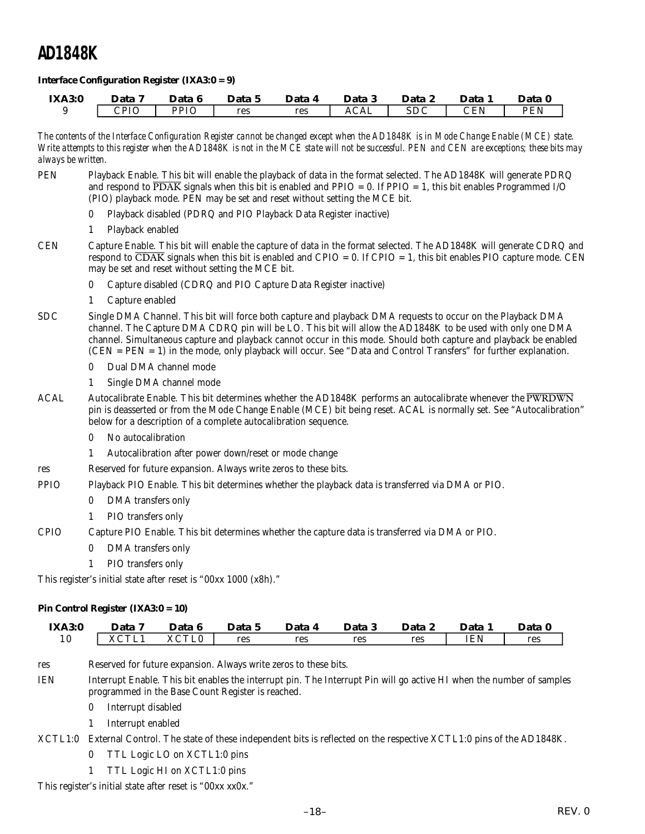#### *Interface Configuration Register (IXA3:0 = 9)*

| <b>IXA3:0</b> | Data 7 | Data 6 | Data 5 | Data 4 | Data 3      | Data 2     | Data                  | Data 0     |
|---------------|--------|--------|--------|--------|-------------|------------|-----------------------|------------|
|               | CPIO   | PPIO   | res    | res    | <b>ACAL</b> | <b>SDC</b> | $\Gamma$ FN<br>ن 12 ب | <b>DEM</b> |

*The contents of the Interface Configuration Register cannot be changed except when the AD1848K is in Mode Change Enable (MCE) state. Write attempts to this register when the AD1848K is not in the MCE state will not be successful. PEN and CEN are exceptions; these bits may always be written.*

- PEN Playback Enable. This bit will enable the playback of data in the format selected. The AD1848K will generate PDRQ and respond to  $\overline{PDAK}$  signals when this bit is enabled and  $PPIO = 0$ . If  $PPIO = 1$ , this bit enables Programmed I/O (PIO) playback mode. PEN may be set and reset without setting the MCE bit.
	- 0 Playback disabled (PDRQ and PIO Playback Data Register inactive)
	- 1 Playback enabled
- CEN Capture Enable. This bit will enable the capture of data in the format selected. The AD1848K will generate CDRQ and respond to  $\overline{\text{CDAK}}$  signals when this bit is enabled and CPIO = 0. If CPIO = 1, this bit enables PIO capture mode. CEN may be set and reset without setting the MCE bit.
	- 0 Capture disabled (CDRQ and PIO Capture Data Register inactive)
	- 1 Capture enabled
- SDC Single DMA Channel. This bit will force both capture and playback DMA requests to occur on the Playback DMA channel. The Capture DMA CDRQ pin will be LO. This bit will allow the AD1848K to be used with only one DMA channel. Simultaneous capture and playback cannot occur in this mode. Should both capture and playback be enabled (CEN = PEN = 1) in the mode, only playback will occur. See "Data and Control Transfers" for further explanation.
	- 0 Dual DMA channel mode
	- 1 Single DMA channel mode
- ACAL Autocalibrate Enable. This bit determines whether the AD1848K performs an autocalibrate whenever the PWRDWN pin is deasserted or from the Mode Change Enable (MCE) bit being reset. ACAL is normally set. See "Autocalibration" below for a description of a complete autocalibration sequence.
	- 0 No autocalibration
	- 1 Autocalibration after power down/reset or mode change
- res Reserved for future expansion. Always write zeros to these bits.
- PPIO Playback PIO Enable. This bit determines whether the playback data is transferred via DMA or PIO.
	- 0 DMA transfers only
	- 1 PIO transfers only
- CPIO Capture PIO Enable. This bit determines whether the capture data is transferred via DMA or PIO.
	- 0 DMA transfers only
	- 1 PIO transfers only

This register's initial state after reset is "00xx 1000 (x8h)."

#### *Pin Control Register (IXA3:0 = 10)*

| <b>IXA3:0</b> | Jata                 | Data 6 | Data 5 | Data | Data 3 | Data 2 | Jata       | <b>Data</b> |
|---------------|----------------------|--------|--------|------|--------|--------|------------|-------------|
| <b>IU</b>     | YCTI<br><b>AVILI</b> | XCTL0  | res    | res  | res    | res    | <b>IEN</b> | res         |

res Reserved for future expansion. Always write zeros to these bits.

IEN Interrupt Enable. This bit enables the interrupt pin. The Interrupt Pin will go active HI when the number of samples programmed in the Base Count Register is reached.

- 0 Interrupt disabled
- 1 Interrupt enabled
- XCTL1:0 External Control. The state of these independent bits is reflected on the respective XCTL1:0 pins of the AD1848K.
	- 0 TTL Logic LO on XCTL1:0 pins
	- 1 TTL Logic HI on XCTL1:0 pins

This register's initial state after reset is "00xx xx0x."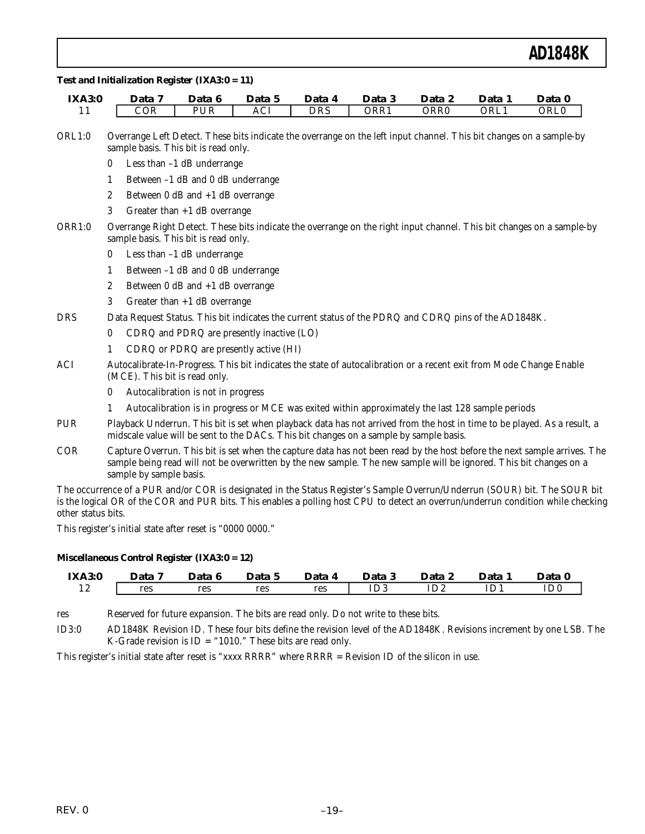#### *Test and Initialization Register (IXA3:0 = 11)*

| <b>IXA3:0</b> | Data                     | Data 6 | Data 5          | Data | Data 3 | Data | Data | Data ( |
|---------------|--------------------------|--------|-----------------|------|--------|------|------|--------|
|               | $\mathbb{C} \mathrm{OR}$ | PUR    | $\sim$ T<br>ACI | DRS  | ORR1   | ORR0 | ORL1 | ORL0   |

- ORL1:0 Overrange Left Detect. These bits indicate the overrange on the left input channel. This bit changes on a sample-by sample basis. This bit is read only.
	- 0 Less than –1 dB underrange
	- 1 Between –1 dB and 0 dB underrange
	- 2 Between 0 dB and +1 dB overrange
	- 3 Greater than +1 dB overrange
- ORR1:0 Overrange Right Detect. These bits indicate the overrange on the right input channel. This bit changes on a sample-by sample basis. This bit is read only.
	- 0 Less than –1 dB underrange
	- 1 Between –1 dB and 0 dB underrange
	- 2 Between 0 dB and +1 dB overrange
	- 3 Greater than +1 dB overrange
- DRS Data Request Status. This bit indicates the current status of the PDRQ and CDRQ pins of the AD1848K.
	- 0 CDRQ and PDRQ are presently inactive (LO)
	- 1 CDRQ or PDRQ are presently active (HI)
- ACI Autocalibrate-In-Progress. This bit indicates the state of autocalibration or a recent exit from Mode Change Enable (MCE). This bit is read only.
	- 0 Autocalibration is not in progress
	- 1 Autocalibration is in progress or MCE was exited within approximately the last 128 sample periods
- PUR Playback Underrun. This bit is set when playback data has not arrived from the host in time to be played. As a result, a midscale value will be sent to the DACs. This bit changes on a sample by sample basis.
- COR Capture Overrun. This bit is set when the capture data has not been read by the host before the next sample arrives. The sample being read will not be overwritten by the new sample. The new sample will be ignored. This bit changes on a sample by sample basis.

The occurrence of a PUR and/or COR is designated in the Status Register's Sample Overrun/Underrun (SOUR) bit. The SOUR bit is the logical OR of the COR and PUR bits. This enables a polling host CPU to detect an overrun/underrun condition while checking other status bits.

This register's initial state after reset is "0000 0000."

#### *Miscellaneous Control Register (IXA3:0 = 12)*

| <b>IXA3:0</b> | Jata | Data 6 | Data 5 | Data | Data 3 | Data 2 | Data | <b>Data</b> |
|---------------|------|--------|--------|------|--------|--------|------|-------------|
| $\mathbf{r}$  | res  | res    | res    | res  | ID3    | ID2    |      |             |

res Reserved for future expansion. The bits are read only. Do not write to these bits.

ID3:0 AD1848K Revision ID. These four bits define the revision level of the AD1848K. Revisions increment by one LSB. The K-Grade revision is  $ID = "1010."$  These bits are read only.

This register's initial state after reset is "xxxx RRRR" where RRRR = Revision ID of the silicon in use.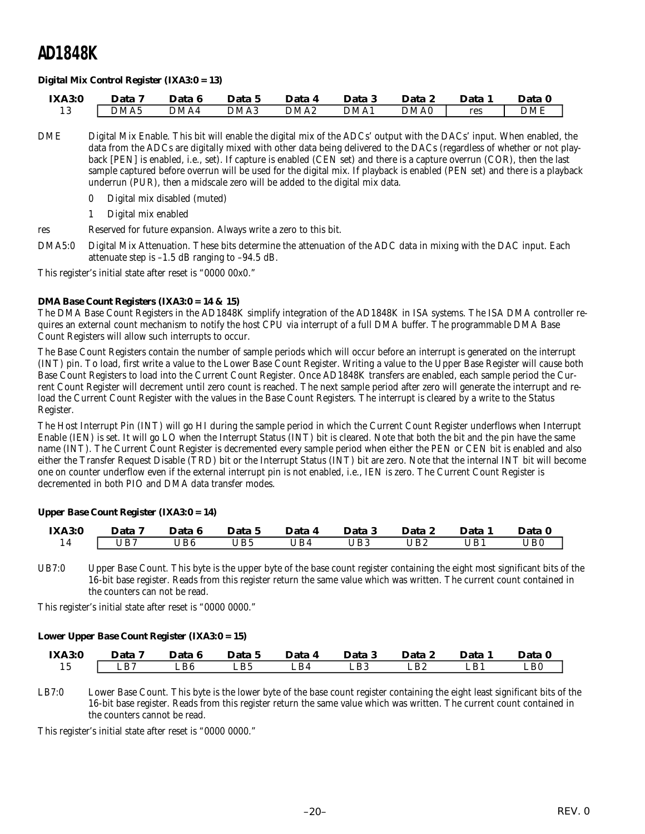#### *Digital Mix Control Register (IXA3:0 = 13)*

| <b>IXA3:0</b> | Data             | Data 6 | Data 5 | Data 4 | Data 3 | Data 2 | Data i | Data 0 |
|---------------|------------------|--------|--------|--------|--------|--------|--------|--------|
|               | DMA <sub>5</sub> | DMA4   | DMA3   | DMA2   | DMA1   | DMA0   | res    | DME    |

- DME Digital Mix Enable. This bit will enable the digital mix of the ADCs' output with the DACs' input. When enabled, the data from the ADCs are digitally mixed with other data being delivered to the DACs (regardless of whether or not playback [PEN] is enabled, i.e., set). If capture is enabled (CEN set) and there is a capture overrun (COR), then the last sample captured before overrun will be used for the digital mix. If playback is enabled (PEN set) and there is a playback underrun (PUR), then a midscale zero will be added to the digital mix data.
	- 0 Digital mix disabled (muted)
	- 1 Digital mix enabled

res Reserved for future expansion. Always write a zero to this bit.

DMA5:0 Digital Mix Attenuation. These bits determine the attenuation of the ADC data in mixing with the DAC input. Each attenuate step is –1.5 dB ranging to –94.5 dB.

This register's initial state after reset is "0000 00x0."

#### *DMA Base Count Registers (IXA3:0 = 14 & 15)*

The DMA Base Count Registers in the AD1848K simplify integration of the AD1848K in ISA systems. The ISA DMA controller requires an external count mechanism to notify the host CPU via interrupt of a full DMA buffer. The programmable DMA Base Count Registers will allow such interrupts to occur.

The Base Count Registers contain the number of sample periods which will occur before an interrupt is generated on the interrupt (INT) pin. To load, first write a value to the Lower Base Count Register. Writing a value to the Upper Base Register will cause both Base Count Registers to load into the Current Count Register. Once AD1848K transfers are enabled, each sample period the Current Count Register will decrement until zero count is reached. The next sample period after zero will generate the interrupt and reload the Current Count Register with the values in the Base Count Registers. The interrupt is cleared by a write to the Status Register.

The Host Interrupt Pin (INT) will go HI during the sample period in which the Current Count Register underflows when Interrupt Enable (IEN) is set. It will go LO when the Interrupt Status (INT) bit is cleared. Note that both the bit and the pin have the same name (INT). The Current Count Register is decremented every sample period when either the PEN or CEN bit is enabled and also either the Transfer Request Disable (TRD) bit or the Interrupt Status (INT) bit are zero. Note that the internal INT bit will become one on counter underflow even if the external interrupt pin is not enabled, i.e., IEN is zero. The Current Count Register is decremented in both PIO and DMA data transfer modes.

#### *Upper Base Count Register (IXA3:0 = 14)*

| <b>IXA3:0</b> | <b>Data</b> 'ı | Data 6          | Data 5 | Data 4         | Data 3 | Data 2 | <b>Data</b>      | Data 0 |
|---------------|----------------|-----------------|--------|----------------|--------|--------|------------------|--------|
|               | UB7            | $^{\prime}$ JB6 | IB5    | $\rm {}^{1}B4$ | UB3    | UB2    | $\overline{AB1}$ | UB0    |

UB7:0 Upper Base Count. This byte is the upper byte of the base count register containing the eight most significant bits of the 16-bit base register. Reads from this register return the same value which was written. The current count contained in the counters can not be read.

This register's initial state after reset is "0000 0000."

#### *Lower Upper Base Count Register (IXA3:0 = 15)*

| <b>IXA3:0</b> | Data         | Data 6 | Data 5        | Data 4 | Data 3 | Data 2                  | Data 1 | Data 0                  |
|---------------|--------------|--------|---------------|--------|--------|-------------------------|--------|-------------------------|
|               | $L_{\rm B7}$ | L B6   | $L_{\rm B}$ 5 | ∟B4    | LB3    | $\mathsf{L}\mathsf{B}2$ | LB.    | $\mathsf{L}\mathsf{B}0$ |

LB7:0 Lower Base Count. This byte is the lower byte of the base count register containing the eight least significant bits of the 16-bit base register. Reads from this register return the same value which was written. The current count contained in the counters cannot be read.

This register's initial state after reset is "0000 0000."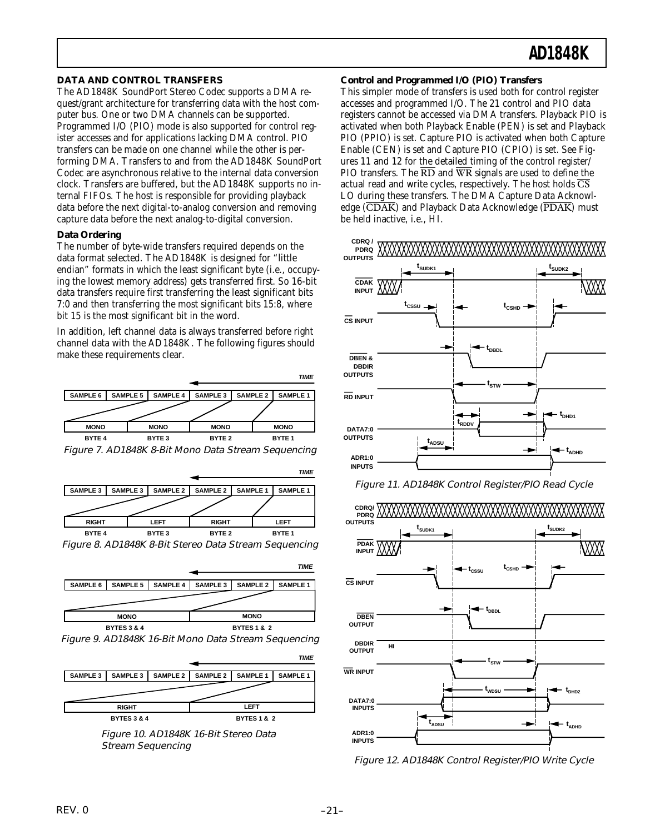#### **DATA AND CONTROL TRANSFERS**

The AD1848K SoundPort Stereo Codec supports a DMA request/grant architecture for transferring data with the host computer bus. One or two DMA channels can be supported. Programmed I/O (PIO) mode is also supported for control register accesses and for applications lacking DMA control. PIO transfers can be made on one channel while the other is performing DMA. Transfers to and from the AD1848K SoundPort Codec are asynchronous relative to the internal data conversion clock. Transfers are buffered, but the AD1848K supports no internal FIFOs. The host is responsible for providing playback data before the next digital-to-analog conversion and removing capture data before the next analog-to-digital conversion.

#### **Data Ordering**

The number of byte-wide transfers required depends on the data format selected. The AD1848K is designed for "little endian" formats in which the least significant byte (i.e., occupying the lowest memory address) gets transferred first. So 16-bit data transfers require first transferring the least significant bits 7:0 and then transferring the most significant bits 15:8, where bit 15 is the most significant bit in the word.

In addition, left channel data is always transferred before right channel data with the AD1848K. The following figures should make these requirements clear.



Stream Sequencing

#### **Control and Programmed I/O (PIO) Transfers**

This simpler mode of transfers is used both for control register accesses and programmed I/O. The 21 control and PIO data registers cannot be accessed via DMA transfers. Playback PIO is activated when both Playback Enable (PEN) is set and Playback PIO (PPIO) is set. Capture PIO is activated when both Capture Enable (CEN) is set and Capture PIO (CPIO) is set. See Figures 11 and 12 for the detailed timing of the control register/ PIO transfers. The  $\overline{RD}$  and  $\overline{WR}$  signals are used to define the actual read and write cycles, respectively. The host holds  $\overline{\text{CS}}$ LO during these transfers. The DMA Capture Data Acknowledge  $(\overline{CDAK})$  and Playback Data Acknowledge  $(\overline{PDAK})$  must be held inactive, i.e., HI.





Figure 12. AD1848K Control Register/PIO Write Cycle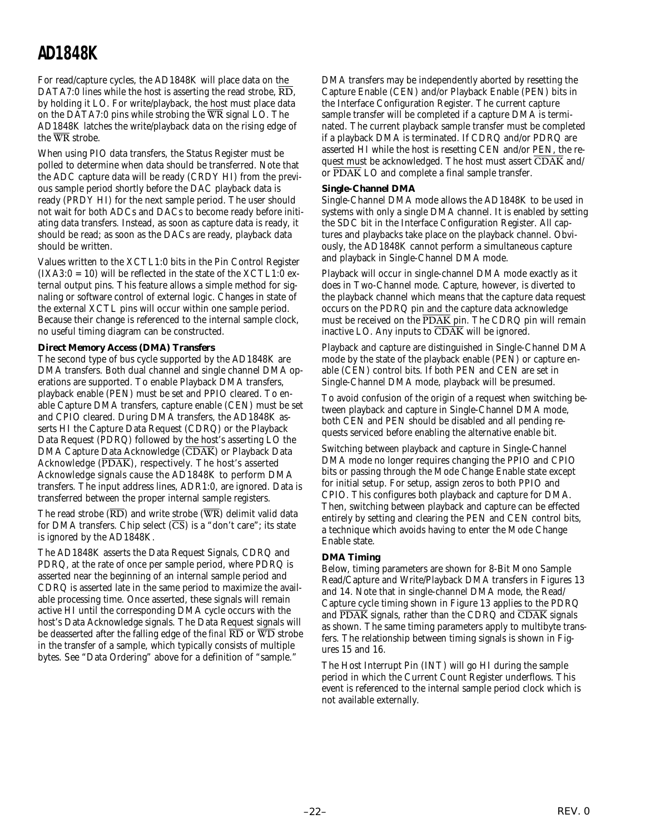For read/capture cycles, the AD1848K will place data on the DATA7:0 lines while the host is asserting the read strobe,  $\overline{RD}$ , by holding it LO. For write/playback, the host must place data on the DATA7:0 pins while strobing the  $\overline{WR}$  signal LO. The AD1848K latches the write/playback data on the rising edge of the WR strobe.

When using PIO data transfers, the Status Register must be polled to determine when data should be transferred. Note that the ADC capture data will be ready (CRDY HI) from the previous sample period shortly before the DAC playback data is ready (PRDY HI) for the next sample period. The user should not wait for both ADCs and DACs to become ready before initiating data transfers. Instead, as soon as capture data is ready, it should be read; as soon as the DACs are ready, playback data should be written.

Values written to the XCTL1:0 bits in the Pin Control Register  $(IXA3:0 = 10)$  will be reflected in the state of the XCTL1:0 external output pins. This feature allows a simple method for signaling or software control of external logic. Changes in state of the external XCTL pins will occur within one sample period. Because their change is referenced to the internal sample clock, no useful timing diagram can be constructed.

#### **Direct Memory Access (DMA) Transfers**

The second type of bus cycle supported by the AD1848K are DMA transfers. Both dual channel and single channel DMA operations are supported. To enable Playback DMA transfers, playback enable (PEN) must be set and PPIO cleared. To enable Capture DMA transfers, capture enable (CEN) must be set and CPIO cleared. During DMA transfers, the AD1848K asserts HI the Capture Data Request (CDRQ) or the Playback Data Request (PDRQ) followed by the host's asserting LO the DMA Capture Data Acknowledge (CDAK) or Playback Data Acknowledge (PDAK), respectively. The host's asserted Acknowledge signals cause the AD1848K to perform DMA transfers. The input address lines, ADR1:0, are ignored. Data is transferred between the proper internal sample registers.

The read strobe  $(\overline{RD})$  and write strobe  $(\overline{WR})$  delimit valid data for DMA transfers. Chip select  $(\overline{CS})$  is a "don't care"; its state is ignored by the AD1848K.

The AD1848K asserts the Data Request Signals, CDRQ and PDRQ, at the rate of once per sample period, where PDRQ is asserted near the beginning of an internal sample period and CDRQ is asserted late in the same period to maximize the available processing time. Once asserted, these signals will remain active HI until the corresponding DMA cycle occurs with the host's Data Acknowledge signals. The Data Request signals will be deasserted after the falling edge of the *final* RD or WD strobe in the transfer of a sample, which typically consists of multiple bytes. See "Data Ordering" above for a definition of "sample."

DMA transfers may be independently aborted by resetting the Capture Enable (CEN) and/or Playback Enable (PEN) bits in the Interface Configuration Register. The current capture sample transfer will be completed if a capture DMA is terminated. The current playback sample transfer must be completed if a playback DMA is terminated. If CDRQ and/or PDRQ are asserted HI while the host is resetting CEN and/or PEN, the request must be acknowledged. The host must assert CDAK and/ or PDAK LO and complete a final sample transfer.

#### **Single-Channel DMA**

Single-Channel DMA mode allows the AD1848K to be used in systems with only a single DMA channel. It is enabled by setting the SDC bit in the Interface Configuration Register. All captures and playbacks take place on the playback channel. Obviously, the AD1848K cannot perform a simultaneous capture and playback in Single-Channel DMA mode.

Playback will occur in single-channel DMA mode exactly as it does in Two-Channel mode. Capture, however, is diverted to the playback channel which means that the capture data request occurs on the PDRQ pin and the capture data acknowledge must be received on the PDAK pin. The CDRQ pin will remain inactive LO. Any inputs to  $\overline{\text{CDAK}}$  will be ignored.

Playback and capture are distinguished in Single-Channel DMA mode by the state of the playback enable (PEN) or capture enable (CEN) control bits. If both PEN and CEN are set in Single-Channel DMA mode, playback will be presumed.

To avoid confusion of the origin of a request when switching between playback and capture in Single-Channel DMA mode, both CEN and PEN should be disabled and all pending requests serviced before enabling the alternative enable bit.

Switching between playback and capture in Single-Channel DMA mode no longer requires changing the PPIO and CPIO bits or passing through the Mode Change Enable state except for initial setup. For setup, assign zeros to both PPIO and CPIO. This configures both playback and capture for DMA. Then, switching between playback and capture can be effected entirely by setting and clearing the PEN and CEN control bits, a technique which avoids having to enter the Mode Change Enable state.

#### **DMA Timing**

Below, timing parameters are shown for 8-Bit Mono Sample Read/Capture and Write/Playback DMA transfers in Figures 13 and 14. Note that in single-channel DMA mode, the Read/ Capture cycle timing shown in Figure 13 applies to the PDRQ and PDAK signals, rather than the CDRQ and CDAK signals as shown. The same timing parameters apply to multibyte transfers. The relationship between timing signals is shown in Figures 15 and 16.

The Host Interrupt Pin (INT) will go HI during the sample period in which the Current Count Register underflows. This event is referenced to the internal sample period clock which is not available externally.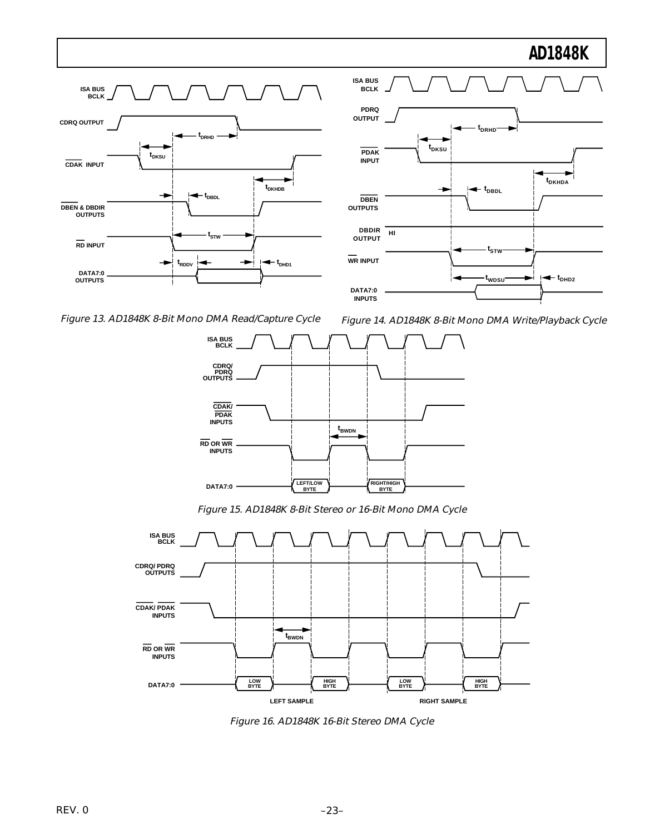



Figure 13. AD1848K 8-Bit Mono DMA Read/Capture Cycle



Figure 15. AD1848K 8-Bit Stereo or 16-Bit Mono DMA Cycle



Figure 16. AD1848K 16-Bit Stereo DMA Cycle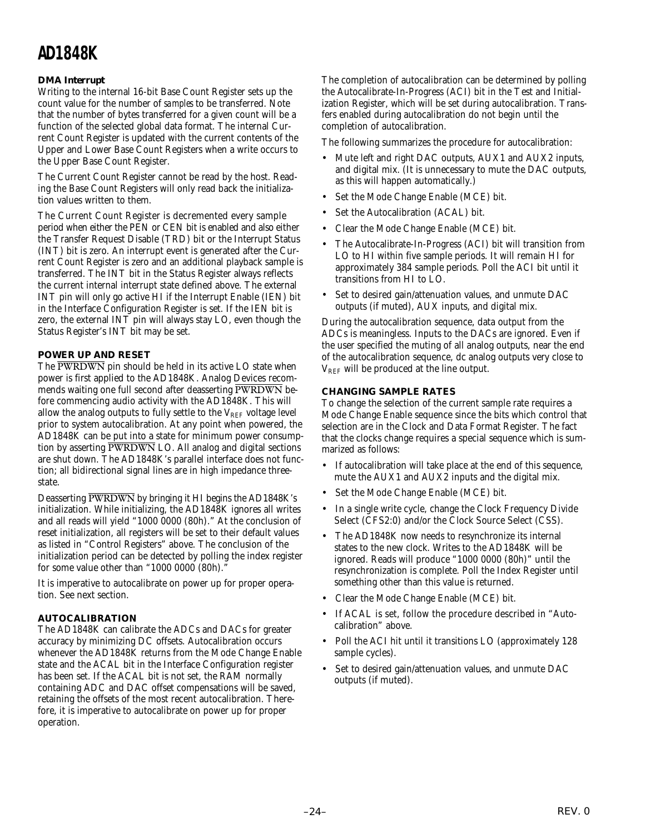#### **DMA Interrupt**

Writing to the internal 16-bit Base Count Register sets up the count value for the number of *samples* to be transferred. Note that the number of bytes transferred for a given count will be a function of the selected global data format. The internal Current Count Register is updated with the current contents of the Upper and Lower Base Count Registers when a write occurs to the Upper Base Count Register.

The Current Count Register cannot be read by the host. Reading the Base Count Registers will only read back the initialization values written to them.

The Current Count Register is decremented every sample period when either the PEN or CEN bit is enabled and also either the Transfer Request Disable (TRD) bit or the Interrupt Status (INT) bit is zero. An interrupt event is generated after the Current Count Register is zero and an additional playback sample is transferred. The INT bit in the Status Register always reflects the current internal interrupt state defined above. The external INT pin will only go active HI if the Interrupt Enable (IEN) bit in the Interface Configuration Register is set. If the IEN bit is zero, the external INT pin will always stay LO, even though the Status Register's INT bit may be set.

#### **POWER UP AND RESET**

The PWRDWN pin should be held in its active LO state when power is first applied to the AD1848K. Analog Devices recommends waiting one full second after deasserting PWRDWN before commencing audio activity with the AD1848K. This will allow the analog outputs to fully settle to the  $V_{REF}$  voltage level prior to system autocalibration. At any point when powered, the AD1848K can be put into a state for minimum power consumption by asserting PWRDWN LO. All analog and digital sections are shut down. The AD1848K's parallel interface does not function; all bidirectional signal lines are in high impedance threestate.

Deasserting PWRDWN by bringing it HI begins the AD1848K's initialization. While initializing, the AD1848K ignores all writes and all reads will yield "1000 0000 (80h)." At the conclusion of reset initialization, all registers will be set to their default values as listed in "Control Registers" above. The conclusion of the initialization period can be detected by polling the index register for some value other than "1000 0000 (80h)."

It is imperative to autocalibrate on power up for proper operation. See next section.

#### **AUTOCALIBRATION**

The AD1848K can calibrate the ADCs and DACs for greater accuracy by minimizing DC offsets. Autocalibration occurs whenever the AD1848K returns from the Mode Change Enable state and the ACAL bit in the Interface Configuration register has been set. If the ACAL bit is not set, the RAM normally containing ADC and DAC offset compensations will be saved, retaining the offsets of the most recent autocalibration. Therefore, it is imperative to autocalibrate on power up for proper operation.

The completion of autocalibration can be determined by polling the Autocalibrate-In-Progress (ACI) bit in the Test and Initialization Register, which will be set during autocalibration. Transfers enabled during autocalibration do not begin until the completion of autocalibration.

The following summarizes the procedure for autocalibration:

- Mute left and right DAC outputs, AUX1 and AUX2 inputs, and digital mix. (It is unnecessary to mute the DAC outputs, as this will happen automatically.)
- Set the Mode Change Enable (MCE) bit.
- Set the Autocalibration (ACAL) bit.
- Clear the Mode Change Enable (MCE) bit.
- The Autocalibrate-In-Progress (ACI) bit will transition from LO to HI within five sample periods. It will remain HI for approximately 384 sample periods. Poll the ACI bit until it transitions from HI to LO.
- Set to desired gain/attenuation values, and unmute DAC outputs (if muted), AUX inputs, and digital mix.

During the autocalibration sequence, data output from the ADCs is meaningless. Inputs to the DACs are ignored. Even if the user specified the muting of all analog outputs, near the end of the autocalibration sequence, dc analog outputs very close to  $V_{REF}$  will be produced at the line output.

#### **CHANGING SAMPLE RATES**

To change the selection of the current sample rate requires a Mode Change Enable sequence since the bits which control that selection are in the Clock and Data Format Register. The fact that the clocks change requires a special sequence which is summarized as follows:

- If autocalibration will take place at the end of this sequence, mute the AUX1 and AUX2 inputs and the digital mix.
- Set the Mode Change Enable (MCE) bit.
- In a single write cycle, change the Clock Frequency Divide Select (CFS2:0) and/or the Clock Source Select (CSS).
- The AD1848K now needs to resynchronize its internal states to the new clock. Writes to the AD1848K will be ignored. Reads will produce "1000 0000 (80h)" until the resynchronization is complete. Poll the Index Register until something other than this value is returned.
- Clear the Mode Change Enable (MCE) bit.
- If ACAL is set, follow the procedure described in "Autocalibration" above.
- Poll the ACI hit until it transitions LO (approximately 128) sample cycles).
- Set to desired gain/attenuation values, and unmute DAC outputs (if muted).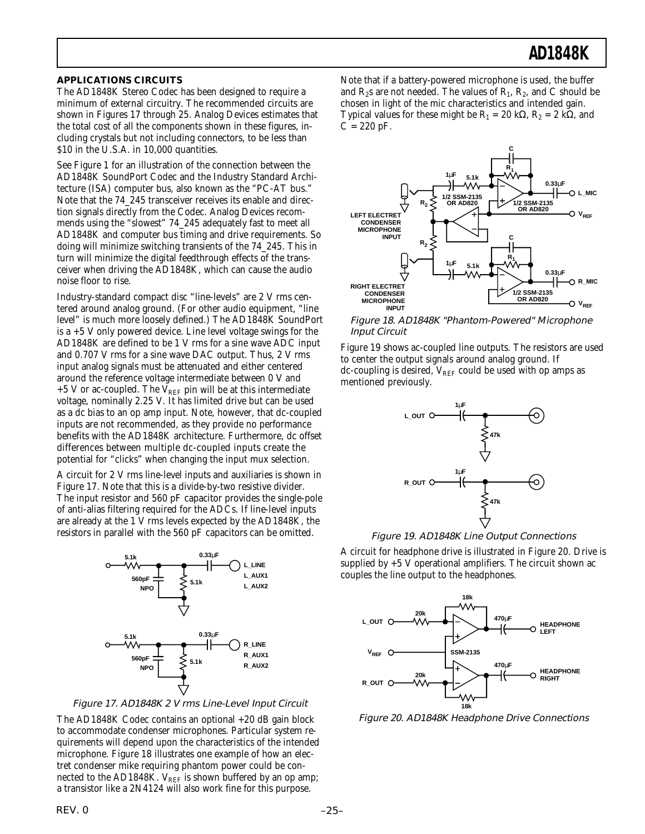#### **APPLICATIONS CIRCUITS**

The AD1848K Stereo Codec has been designed to require a minimum of external circuitry. The recommended circuits are shown in Figures 17 through 25. Analog Devices estimates that the total cost of all the components shown in these figures, including crystals but not including connectors, to be less than \$10 in the U.S.A. in 10,000 quantities.

See Figure 1 for an illustration of the connection between the AD1848K SoundPort Codec and the Industry Standard Architecture (ISA) computer bus, also known as the "PC-AT bus." Note that the 74\_245 transceiver receives its enable and direction signals directly from the Codec. Analog Devices recommends using the "slowest" 74\_245 adequately fast to meet all AD1848K and computer bus timing and drive requirements. So doing will minimize switching transients of the 74\_245. This in turn will minimize the digital feedthrough effects of the transceiver when driving the AD1848K, which can cause the audio noise floor to rise.

Industry-standard compact disc "line-levels" are 2 V rms centered around analog ground. (For other audio equipment, "line level" is much more loosely defined.) The AD1848K SoundPort is a +5 V only powered device. Line level voltage swings for the AD1848K are defined to be 1 V rms for a sine wave ADC input and 0.707 V rms for a sine wave DAC output. Thus, 2 V rms input analog signals must be attenuated and either centered around the reference voltage intermediate between 0 V and  $+5$  V or ac-coupled. The V<sub>REF</sub> pin will be at this intermediate voltage, nominally 2.25 V. It has limited drive but can be used as a dc bias to an op amp input. Note, however, that dc-coupled inputs are not recommended, as they provide no performance benefits with the AD1848K architecture. Furthermore, dc offset differences between multiple dc-coupled inputs create the potential for "clicks" when changing the input mux selection.

A circuit for 2 V rms line-level inputs and auxiliaries is shown in Figure 17. Note that this is a divide-by-two resistive divider. The input resistor and 560 pF capacitor provides the single-pole of anti-alias filtering required for the ADCs. If line-level inputs are already at the 1 V rms levels expected by the AD1848K, the resistors in parallel with the 560 pF capacitors can be omitted.



Figure 17. AD1848K 2 V rms Line-Level Input Circuit

The AD1848K Codec contains an optional +20 dB gain block to accommodate condenser microphones. Particular system requirements will depend upon the characteristics of the intended microphone. Figure 18 illustrates one example of how an electret condenser mike requiring phantom power could be connected to the AD1848K.  $V_{REF}$  is shown buffered by an op amp; a transistor like a 2N4124 will also work fine for this purpose.

Note that if a battery-powered microphone is used, the buffer and  $R_2$ s are not needed. The values of  $R_1$ ,  $R_2$ , and C should be chosen in light of the mic characteristics and intended gain. Typical values for these might be  $R_1 = 20$  k $\Omega$ ,  $R_2 = 2$  k $\Omega$ , and  $C = 220$  pF.



Figure 18. AD1848K "Phantom-Powered" Microphone Input Circuit

Figure 19 shows ac-coupled line outputs. The resistors are used to center the output signals around analog ground. If dc-coupling is desired,  $V_{REF}$  could be used with op amps as mentioned previously.



Figure 19. AD1848K Line Output Connections

A circuit for headphone drive is illustrated in Figure 20. Drive is supplied by  $+5$  V operational amplifiers. The circuit shown ac couples the line output to the headphones.



Figure 20. AD1848K Headphone Drive Connections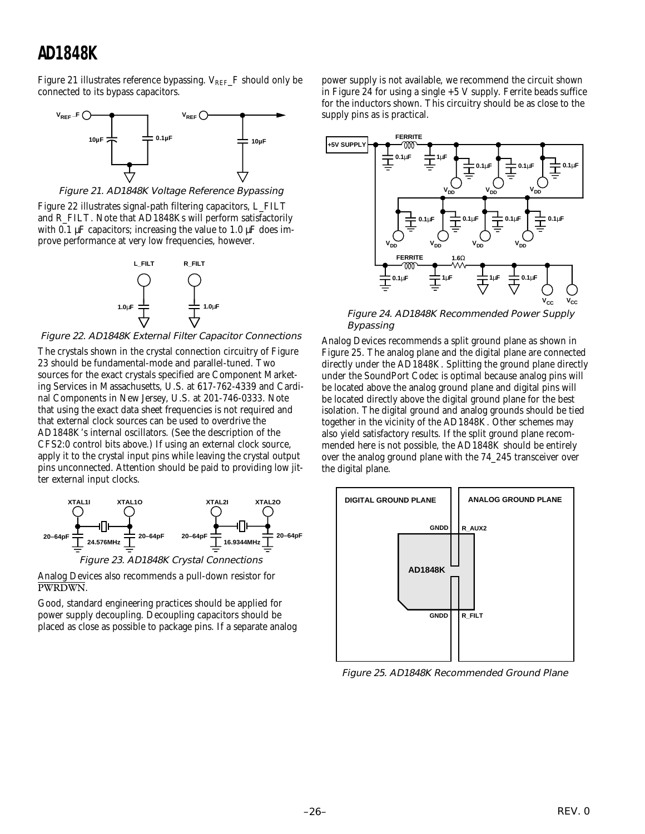Figure 21 illustrates reference bypassing.  $V_{REF}$  F should only be connected to its bypass capacitors.



Figure 21. AD1848K Voltage Reference Bypassing

Figure 22 illustrates signal-path filtering capacitors, L\_FILT and R\_FILT. Note that AD1848Ks will perform satisfactorily with 0.1  $\mu$ F capacitors; increasing the value to 1.0  $\mu$ F does improve performance at very low frequencies, however.



Figure 22. AD1848K External Filter Capacitor Connections

The crystals shown in the crystal connection circuitry of Figure 23 should be fundamental-mode and parallel-tuned. Two sources for the exact crystals specified are Component Marketing Services in Massachusetts, U.S. at 617-762-4339 and Cardinal Components in New Jersey, U.S. at 201-746-0333. Note that using the exact data sheet frequencies is not required and that external clock sources can be used to overdrive the AD1848K's internal oscillators. (See the description of the CFS2:0 control bits above.) If using an external clock source, apply it to the crystal input pins while leaving the crystal output pins unconnected. Attention should be paid to providing low jitter external input clocks.



Analog Devices also recommends a pull-down resistor for PWRDWN.

Good, standard engineering practices should be applied for power supply decoupling. Decoupling capacitors should be placed as close as possible to package pins. If a separate analog power supply is not available, we recommend the circuit shown in Figure 24 for using a single  $+5$  V supply. Ferrite beads suffice for the inductors shown. This circuitry should be as close to the supply pins as is practical.



Figure 24. AD1848K Recommended Power Supply Bypassing

Analog Devices recommends a split ground plane as shown in Figure 25. The analog plane and the digital plane are connected directly under the AD1848K. Splitting the ground plane directly under the SoundPort Codec is optimal because analog pins will be located above the analog ground plane and digital pins will be located directly above the digital ground plane for the best isolation. The digital ground and analog grounds should be tied together in the vicinity of the AD1848K. Other schemes may also yield satisfactory results. If the split ground plane recommended here is not possible, the AD1848K should be entirely over the analog ground plane with the 74\_245 transceiver over the digital plane.



Figure 25. AD1848K Recommended Ground Plane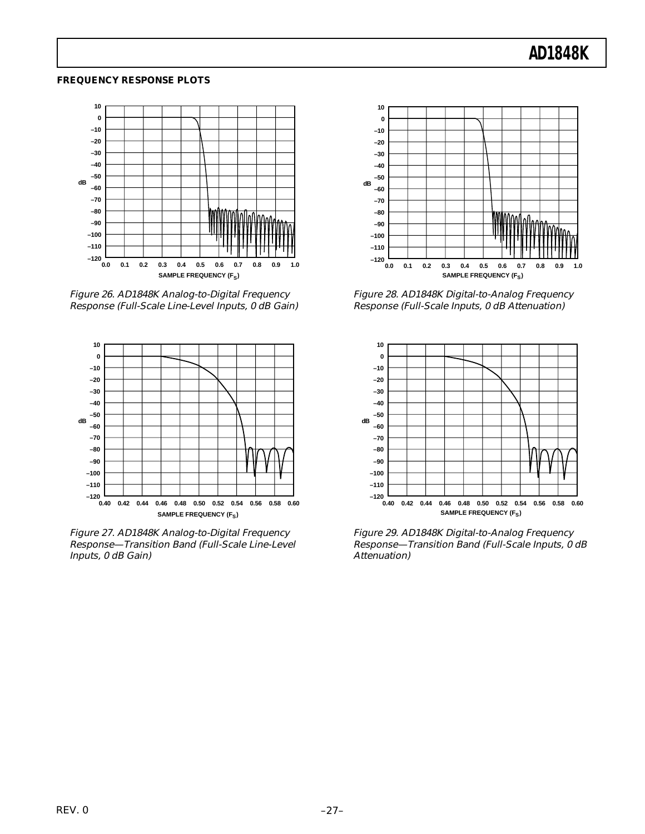#### **FREQUENCY RESPONSE PLOTS**



Figure 26. AD1848K Analog-to-Digital Frequency Response (Full-Scale Line-Level Inputs, 0 dB Gain)



Figure 27. AD1848K Analog-to-Digital Frequency Response—Transition Band (Full-Scale Line-Level Inputs, 0 dB Gain)



Figure 28. AD1848K Digital-to-Analog Frequency Response (Full-Scale Inputs, 0 dB Attenuation)



Figure 29. AD1848K Digital-to-Analog Frequency Response—Transition Band (Full-Scale Inputs, 0 dB Attenuation)